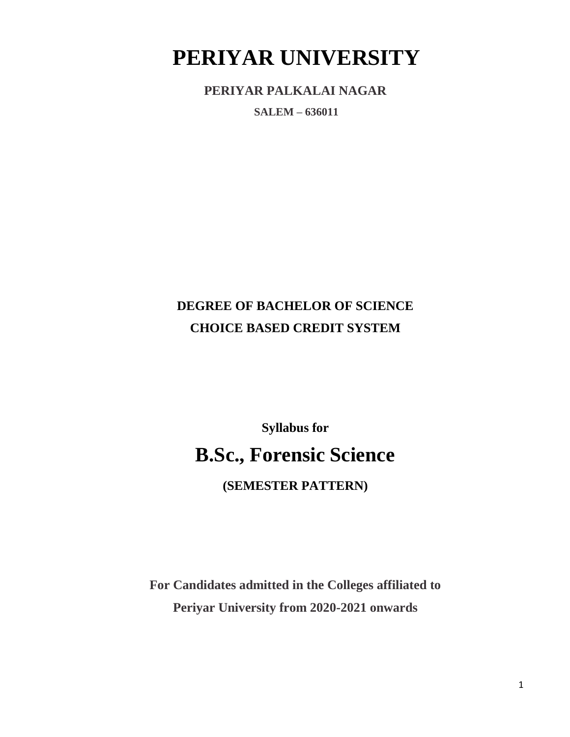## **PERIYAR UNIVERSITY**

**PERIYAR PALKALAI NAGAR**

**SALEM – 636011**

## **DEGREE OF BACHELOR OF SCIENCE CHOICE BASED CREDIT SYSTEM**

# **Syllabus for B.Sc., Forensic Science**

**(SEMESTER PATTERN)**

**For Candidates admitted in the Colleges affiliated to Periyar University from 2020-2021 onwards**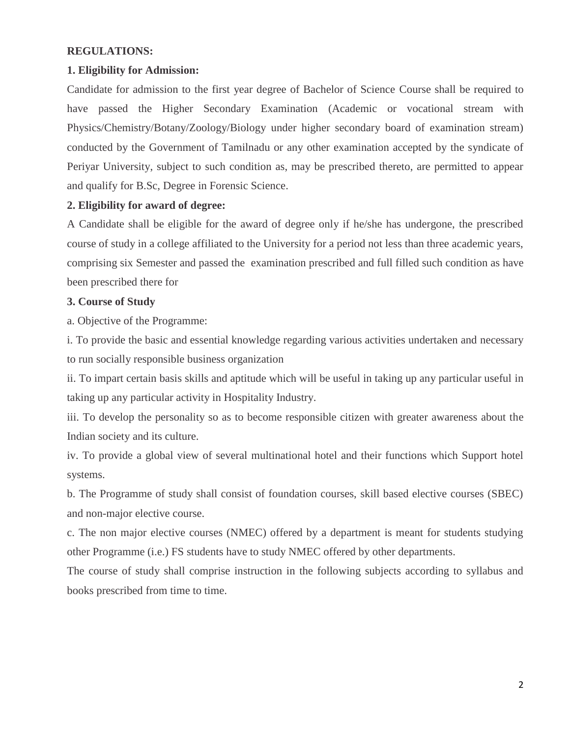## **REGULATIONS:**

#### **1. Eligibility for Admission:**

Candidate for admission to the first year degree of Bachelor of Science Course shall be required to have passed the Higher Secondary Examination (Academic or vocational stream with Physics/Chemistry/Botany/Zoology/Biology under higher secondary board of examination stream) conducted by the Government of Tamilnadu or any other examination accepted by the syndicate of Periyar University, subject to such condition as, may be prescribed thereto, are permitted to appear and qualify for B.Sc, Degree in Forensic Science.

#### **2. Eligibility for award of degree:**

A Candidate shall be eligible for the award of degree only if he/she has undergone, the prescribed course of study in a college affiliated to the University for a period not less than three academic years, comprising six Semester and passed the examination prescribed and full filled such condition as have been prescribed there for

#### **3. Course of Study**

a. Objective of the Programme:

i. To provide the basic and essential knowledge regarding various activities undertaken and necessary to run socially responsible business organization

ii. To impart certain basis skills and aptitude which will be useful in taking up any particular useful in taking up any particular activity in Hospitality Industry.

iii. To develop the personality so as to become responsible citizen with greater awareness about the Indian society and its culture.

iv. To provide a global view of several multinational hotel and their functions which Support hotel systems.

b. The Programme of study shall consist of foundation courses, skill based elective courses (SBEC) and non-major elective course.

c. The non major elective courses (NMEC) offered by a department is meant for students studying other Programme (i.e.) FS students have to study NMEC offered by other departments.

The course of study shall comprise instruction in the following subjects according to syllabus and books prescribed from time to time.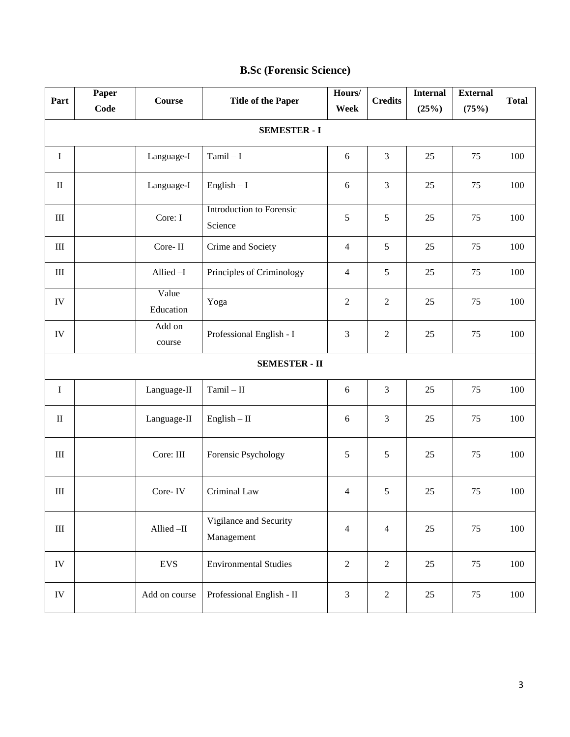| Part       | Paper                | <b>Course</b>      | <b>Title of the Paper</b>            | Hours/         | <b>Credits</b> | <b>Internal</b> | <b>External</b> | <b>Total</b> |
|------------|----------------------|--------------------|--------------------------------------|----------------|----------------|-----------------|-----------------|--------------|
|            | Code                 |                    |                                      | Week           |                | (25%)           | (75%)           |              |
|            |                      |                    | <b>SEMESTER - I</b>                  |                |                |                 |                 |              |
| $\bf I$    |                      | Language-I         | $Tamil-I$                            | 6              | 3              | 25              | 75              | 100          |
| $\rm II$   |                      | Language-I         | $English - I$                        | 6              | 3              | 25              | 75              | 100          |
| $\rm III$  |                      | Core: I            | Introduction to Forensic<br>Science  | 5              | 5              | 25              | 75              | 100          |
| $\rm III$  |                      | Core-II            | Crime and Society                    | $\overline{4}$ | 5              | 25              | 75              | 100          |
| $\rm III$  |                      | Allied-I           | Principles of Criminology            | 4              | 5              | 25              | 75              | 100          |
| ${\rm IV}$ |                      | Value<br>Education | Yoga                                 | $\overline{2}$ | $\overline{2}$ | 25              | 75              | 100          |
| ${\rm IV}$ |                      | Add on<br>course   | Professional English - I             | 3              | $\overline{2}$ | 25              | 75              | 100          |
|            | <b>SEMESTER - II</b> |                    |                                      |                |                |                 |                 |              |
| $\bf I$    |                      | Language-II        | $Tamil - II$                         | 6              | 3              | 25              | 75              | 100          |
| $\rm II$   |                      | Language-II        | $English - II$                       | 6              | 3              | 25              | 75              | 100          |
| $\rm III$  |                      | Core: III          | Forensic Psychology                  | 5              | 5              | 25              | 75              | 100          |
| $\rm III$  |                      | Core-IV            | Criminal Law                         | 4              | 5              | 25              | 75              | 100          |
| $\rm III$  |                      | Allied-II          | Vigilance and Security<br>Management | $\overline{4}$ | $\overline{4}$ | $25\,$          | 75              | 100          |
| ${\rm IV}$ |                      | <b>EVS</b>         | <b>Environmental Studies</b>         | $\overline{2}$ | $\sqrt{2}$     | 25              | 75              | 100          |
| ${\rm IV}$ |                      | Add on course      | Professional English - II            | $\mathfrak{Z}$ | $\sqrt{2}$     | 25              | 75              | 100          |

## **B.Sc (Forensic Science)**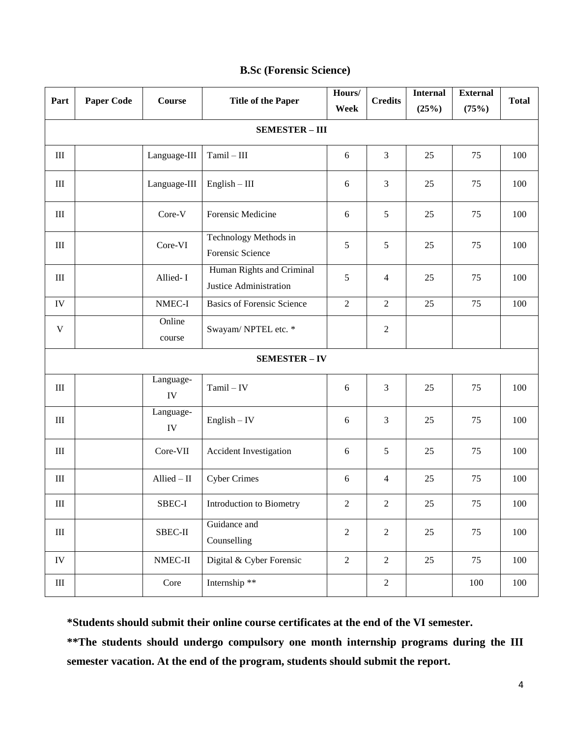| Part        | <b>Paper Code</b> | Course           | <b>Title of the Paper</b>                           | Hours/<br>Week | <b>Credits</b> | <b>Internal</b><br>(25%) | <b>External</b><br>(75%) | <b>Total</b> |
|-------------|-------------------|------------------|-----------------------------------------------------|----------------|----------------|--------------------------|--------------------------|--------------|
|             |                   |                  | <b>SEMESTER - III</b>                               |                |                |                          |                          |              |
| $\rm III$   |                   | Language-III     | $Tamil - III$                                       | 6              | 3              | 25                       | 75                       | 100          |
| $\rm III$   |                   | Language-III     | $English - III$                                     | $\sqrt{6}$     | 3              | 25                       | 75                       | 100          |
| $\rm III$   |                   | Core-V           | Forensic Medicine                                   | 6              | 5              | 25                       | 75                       | 100          |
| $\rm III$   |                   | Core-VI          | Technology Methods in<br>Forensic Science           | 5              | 5              | 25                       | 75                       | 100          |
| $\rm III$   |                   | Allied-I         | Human Rights and Criminal<br>Justice Administration | 5              | $\overline{4}$ | 25                       | 75                       | 100          |
| IV          |                   | NMEC-I           | <b>Basics of Forensic Science</b>                   | $\sqrt{2}$     | $\sqrt{2}$     | 25                       | 75                       | 100          |
| $\mathbf V$ |                   | Online<br>course | Swayam/NPTEL etc. *                                 |                | $\overline{2}$ |                          |                          |              |
|             |                   |                  | <b>SEMESTER - IV</b>                                |                |                |                          |                          |              |
| $\rm III$   |                   | Language-<br>IV  | $Tamil - IV$                                        | 6              | 3              | 25                       | 75                       | 100          |
| $\rm III$   |                   | Language-<br>IV  | $English - IV$                                      | 6              | 3              | 25                       | 75                       | 100          |
| $\rm III$   |                   | Core-VII         | Accident Investigation                              | $\sqrt{6}$     | 5              | 25                       | 75                       | 100          |
| $\rm III$   |                   | Allied $-$ II    | <b>Cyber Crimes</b>                                 | $\sqrt{6}$     | $\overline{4}$ | 25                       | 75                       | 100          |
| $\rm III$   |                   | SBEC-I           | Introduction to Biometry                            | $\overline{c}$ | 2              | $25\,$                   | 75                       | 100          |
| $\rm III$   |                   | SBEC-II          | Guidance and<br>Counselling                         | $\sqrt{2}$     | $\overline{2}$ | 25                       | 75                       | 100          |
| IV          |                   | NMEC-II          | Digital & Cyber Forensic                            | $\sqrt{2}$     | $\overline{2}$ | 25                       | 75                       | 100          |
| III         |                   | Core             | Internship **                                       |                | $\sqrt{2}$     |                          | 100                      | 100          |

## **B.Sc (Forensic Science)**

**\*Students should submit their online course certificates at the end of the VI semester.**

**\*\*The students should undergo compulsory one month internship programs during the III semester vacation. At the end of the program, students should submit the report.**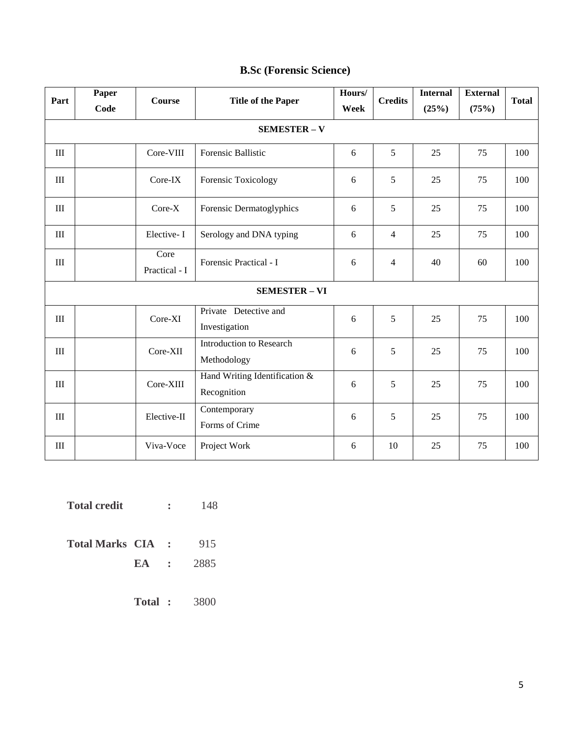| Part                             | Paper<br>Code | <b>Course</b>         | <b>Title of the Paper</b>                    | Hours/<br>Week | <b>Credits</b> | <b>Internal</b><br>(25%) | <b>External</b><br>(75%) | <b>Total</b> |
|----------------------------------|---------------|-----------------------|----------------------------------------------|----------------|----------------|--------------------------|--------------------------|--------------|
|                                  |               |                       | <b>SEMESTER - V</b>                          |                |                |                          |                          |              |
|                                  |               |                       |                                              |                |                |                          |                          |              |
| $\rm III$                        |               | Core-VIII             | Forensic Ballistic                           | 6              | 5              | 25                       | 75                       | 100          |
| $\rm III$                        |               | Core-IX               | Forensic Toxicology                          | 6              | 5              | 25                       | 75                       | 100          |
| $\rm III$                        |               | Core-X                | Forensic Dermatoglyphics                     | 6              | 5              | 25                       | 75                       | 100          |
| III                              |               | Elective-I            | Serology and DNA typing                      | 6              | $\overline{4}$ | 25                       | 75                       | 100          |
| $\rm III$                        |               | Core<br>Practical - I | Forensic Practical - I                       | 6              | $\overline{4}$ | 40                       | 60                       | 100          |
| <b>SEMESTER - VI</b>             |               |                       |                                              |                |                |                          |                          |              |
| $\mathop{\mathrm{III}}\nolimits$ |               | Core-XI               | Private Detective and<br>Investigation       | 6              | 5              | 25                       | 75                       | 100          |
| $\rm III$                        |               | Core-XII              | Introduction to Research<br>Methodology      | 6              | 5              | 25                       | 75                       | 100          |
| III                              |               | Core-XIII             | Hand Writing Identification &<br>Recognition | 6              | 5              | 25                       | 75                       | 100          |
| III                              |               | Elective-II           | Contemporary<br>Forms of Crime               | 6              | 5              | 25                       | 75                       | 100          |
| $\rm III$                        |               | Viva-Voce             | Project Work                                 | 6              | 10             | 25                       | 75                       | 100          |

## **B.Sc (Forensic Science)**

**Total credit :** 148 **Total Marks CIA : 915 EA :** 2885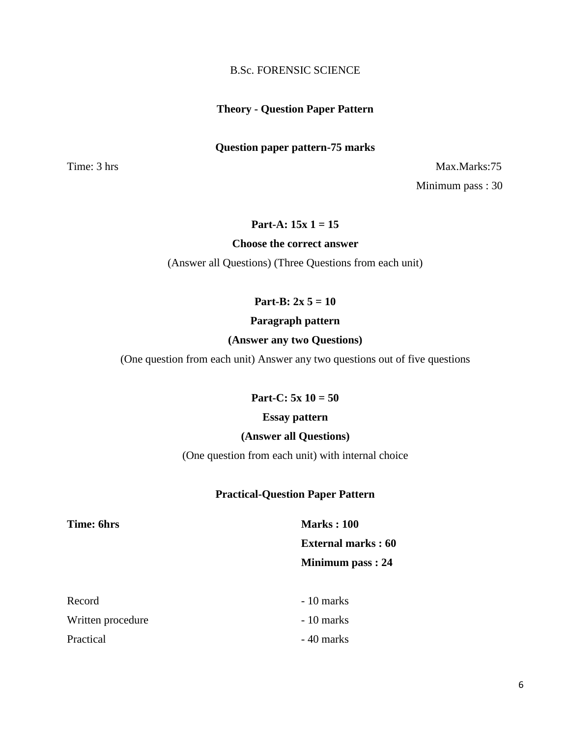#### B.Sc. FORENSIC SCIENCE

#### **Theory - Question Paper Pattern**

#### **Question paper pattern-75 marks**

Time: 3 hrs Max.Marks:75 Minimum pass : 30

## **Part-A: 15x 1 = 15**

#### **Choose the correct answer**

(Answer all Questions) (Three Questions from each unit)

**Part-B: 2x 5 = 10**

#### **Paragraph pattern**

#### **(Answer any two Questions)**

(One question from each unit) Answer any two questions out of five questions

#### **Part-C: 5x 10 = 50**

#### **Essay pattern**

#### **(Answer all Questions)**

(One question from each unit) with internal choice

#### **Practical-Question Paper Pattern**

**Time: 6hrs Marks : 100 External marks : 60 Minimum pass : 24**

| Record            | - 10 marks |
|-------------------|------------|
| Written procedure | - 10 marks |
| Practical         | - 40 marks |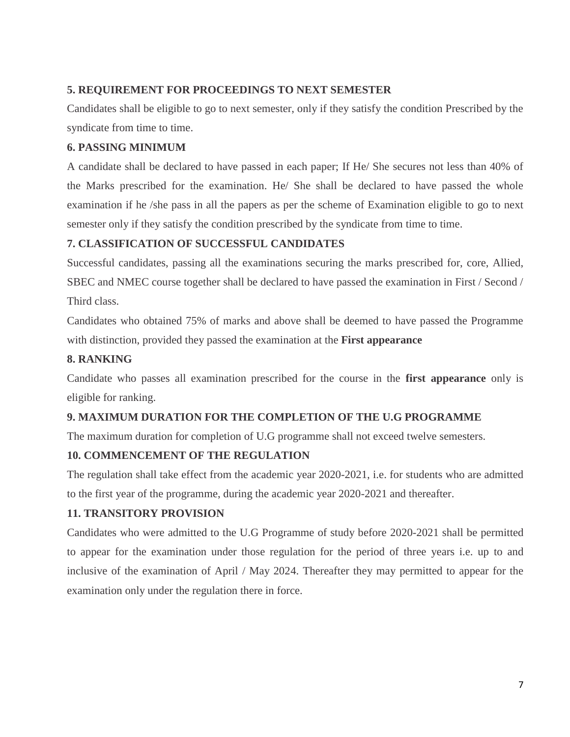## **5. REQUIREMENT FOR PROCEEDINGS TO NEXT SEMESTER**

Candidates shall be eligible to go to next semester, only if they satisfy the condition Prescribed by the syndicate from time to time.

## **6. PASSING MINIMUM**

A candidate shall be declared to have passed in each paper; If He/ She secures not less than 40% of the Marks prescribed for the examination. He/ She shall be declared to have passed the whole examination if he /she pass in all the papers as per the scheme of Examination eligible to go to next semester only if they satisfy the condition prescribed by the syndicate from time to time.

## **7. CLASSIFICATION OF SUCCESSFUL CANDIDATES**

Successful candidates, passing all the examinations securing the marks prescribed for, core, Allied, SBEC and NMEC course together shall be declared to have passed the examination in First / Second / Third class.

Candidates who obtained 75% of marks and above shall be deemed to have passed the Programme with distinction, provided they passed the examination at the **First appearance**

## **8. RANKING**

Candidate who passes all examination prescribed for the course in the **first appearance** only is eligible for ranking.

## **9. MAXIMUM DURATION FOR THE COMPLETION OF THE U.G PROGRAMME**

The maximum duration for completion of U.G programme shall not exceed twelve semesters.

## **10. COMMENCEMENT OF THE REGULATION**

The regulation shall take effect from the academic year 2020-2021, i.e. for students who are admitted to the first year of the programme, during the academic year 2020-2021 and thereafter.

## **11. TRANSITORY PROVISION**

Candidates who were admitted to the U.G Programme of study before 2020-2021 shall be permitted to appear for the examination under those regulation for the period of three years i.e. up to and inclusive of the examination of April / May 2024. Thereafter they may permitted to appear for the examination only under the regulation there in force.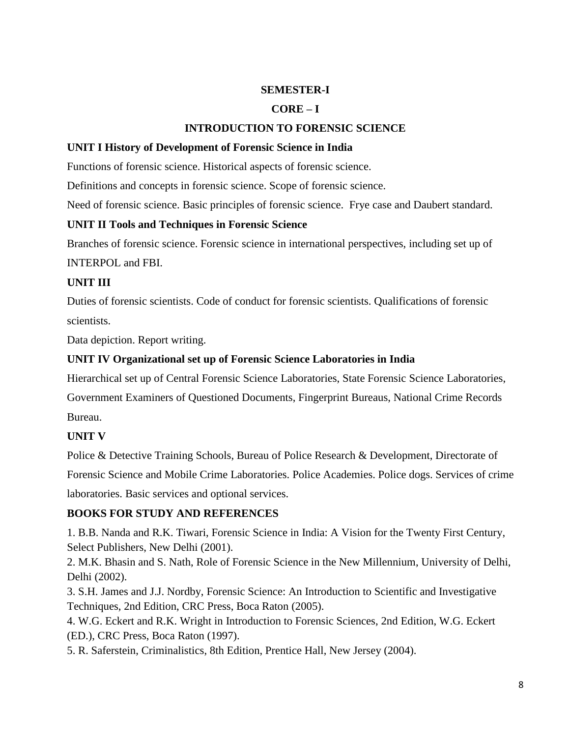## **SEMESTER-I**

## **CORE – I**

## **INTRODUCTION TO FORENSIC SCIENCE**

#### **UNIT I History of Development of Forensic Science in India**

Functions of forensic science. Historical aspects of forensic science.

Definitions and concepts in forensic science. Scope of forensic science.

Need of forensic science. Basic principles of forensic science. Frye case and Daubert standard.

#### **UNIT II Tools and Techniques in Forensic Science**

Branches of forensic science. Forensic science in international perspectives, including set up of

INTERPOL and FBI.

#### **UNIT III**

Duties of forensic scientists. Code of conduct for forensic scientists. Qualifications of forensic scientists.

Data depiction. Report writing.

## **UNIT IV Organizational set up of Forensic Science Laboratories in India**

Hierarchical set up of Central Forensic Science Laboratories, State Forensic Science Laboratories,

Government Examiners of Questioned Documents, Fingerprint Bureaus, National Crime Records Bureau.

#### **UNIT V**

Police & Detective Training Schools, Bureau of Police Research & Development, Directorate of Forensic Science and Mobile Crime Laboratories. Police Academies. Police dogs. Services of crime laboratories. Basic services and optional services.

#### **BOOKS FOR STUDY AND REFERENCES**

1. B.B. Nanda and R.K. Tiwari, Forensic Science in India: A Vision for the Twenty First Century, Select Publishers, New Delhi (2001).

2. M.K. Bhasin and S. Nath, Role of Forensic Science in the New Millennium, University of Delhi, Delhi (2002).

3. S.H. James and J.J. Nordby, Forensic Science: An Introduction to Scientific and Investigative Techniques, 2nd Edition, CRC Press, Boca Raton (2005).

4. W.G. Eckert and R.K. Wright in Introduction to Forensic Sciences, 2nd Edition, W.G. Eckert (ED.), CRC Press, Boca Raton (1997).

5. R. Saferstein, Criminalistics, 8th Edition, Prentice Hall, New Jersey (2004).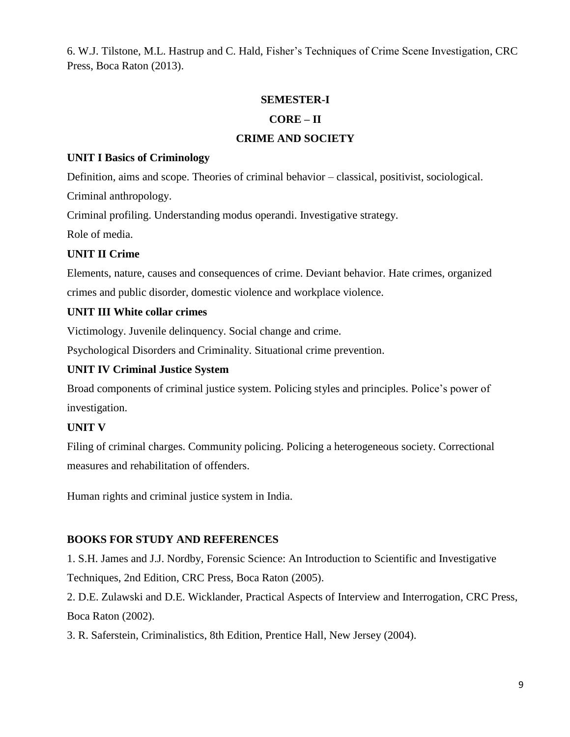6. W.J. Tilstone, M.L. Hastrup and C. Hald, Fisher's Techniques of Crime Scene Investigation, CRC Press, Boca Raton (2013).

## **SEMESTER-I**

## **CORE – II**

## **CRIME AND SOCIETY**

#### **UNIT I Basics of Criminology**

Definition, aims and scope. Theories of criminal behavior – classical, positivist, sociological.

Criminal anthropology.

Criminal profiling. Understanding modus operandi. Investigative strategy.

Role of media.

## **UNIT II Crime**

Elements, nature, causes and consequences of crime. Deviant behavior. Hate crimes, organized crimes and public disorder, domestic violence and workplace violence.

## **UNIT III White collar crimes**

Victimology. Juvenile delinquency. Social change and crime.

Psychological Disorders and Criminality. Situational crime prevention.

## **UNIT IV Criminal Justice System**

Broad components of criminal justice system. Policing styles and principles. Police's power of investigation.

## **UNIT V**

Filing of criminal charges. Community policing. Policing a heterogeneous society. Correctional measures and rehabilitation of offenders.

Human rights and criminal justice system in India.

## **BOOKS FOR STUDY AND REFERENCES**

1. S.H. James and J.J. Nordby, Forensic Science: An Introduction to Scientific and Investigative Techniques, 2nd Edition, CRC Press, Boca Raton (2005).

2. D.E. Zulawski and D.E. Wicklander, Practical Aspects of Interview and Interrogation, CRC Press, Boca Raton (2002).

3. R. Saferstein, Criminalistics, 8th Edition, Prentice Hall, New Jersey (2004).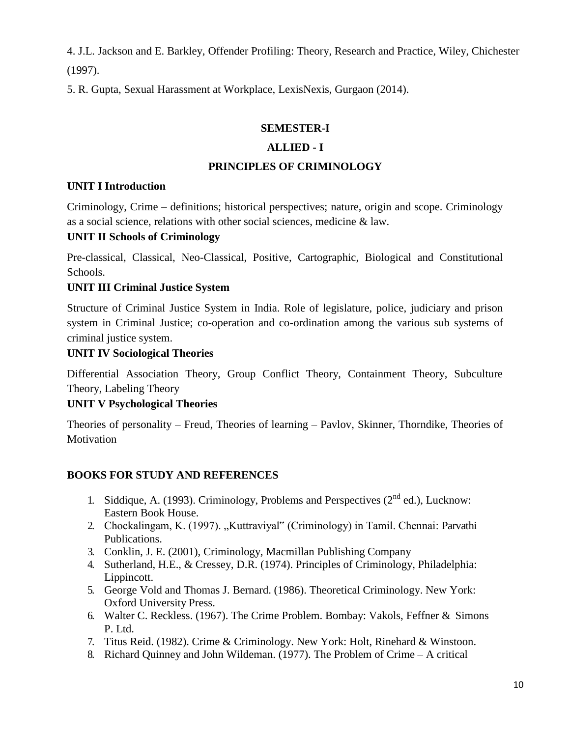4. J.L. Jackson and E. Barkley, Offender Profiling: Theory, Research and Practice, Wiley, Chichester (1997).

5. R. Gupta, Sexual Harassment at Workplace, LexisNexis, Gurgaon (2014).

#### **SEMESTER-I**

## **ALLIED - I**

## **PRINCIPLES OF CRIMINOLOGY**

## **UNIT I Introduction**

Criminology, Crime – definitions; historical perspectives; nature, origin and scope. Criminology as a social science, relations with other social sciences, medicine & law.

## **UNIT II Schools of Criminology**

Pre-classical, Classical, Neo-Classical, Positive, Cartographic, Biological and Constitutional Schools.

## **UNIT III Criminal Justice System**

Structure of Criminal Justice System in India. Role of legislature, police, judiciary and prison system in Criminal Justice; co-operation and co-ordination among the various sub systems of criminal justice system.

## **UNIT IV Sociological Theories**

Differential Association Theory, Group Conflict Theory, Containment Theory, Subculture Theory, Labeling Theory

## **UNIT V Psychological Theories**

Theories of personality – Freud, Theories of learning – Pavlov, Skinner, Thorndike, Theories of Motivation

## **BOOKS FOR STUDY AND REFERENCES**

- 1. Siddique, A. (1993). Criminology, Problems and Perspectives  $(2^{nd}$  ed.), Lucknow: Eastern Book House.
- 2. Chockalingam, K. (1997). "Kuttraviyal" (Criminology) in Tamil. Chennai: Parvathi Publications.
- 3. Conklin, J. E. (2001), Criminology, Macmillan Publishing Company
- 4. Sutherland, H.E., & Cressey, D.R. (1974). Principles of Criminology, Philadelphia: Lippincott.
- 5. George Vold and Thomas J. Bernard. (1986). Theoretical Criminology. New York: Oxford University Press.
- 6. Walter C. Reckless. (1967). The Crime Problem. Bombay: Vakols, Feffner & Simons P. Ltd.
- 7. Titus Reid. (1982). Crime & Criminology. New York: Holt, Rinehard & Winstoon.
- 8. Richard Quinney and John Wildeman. (1977). The Problem of Crime A critical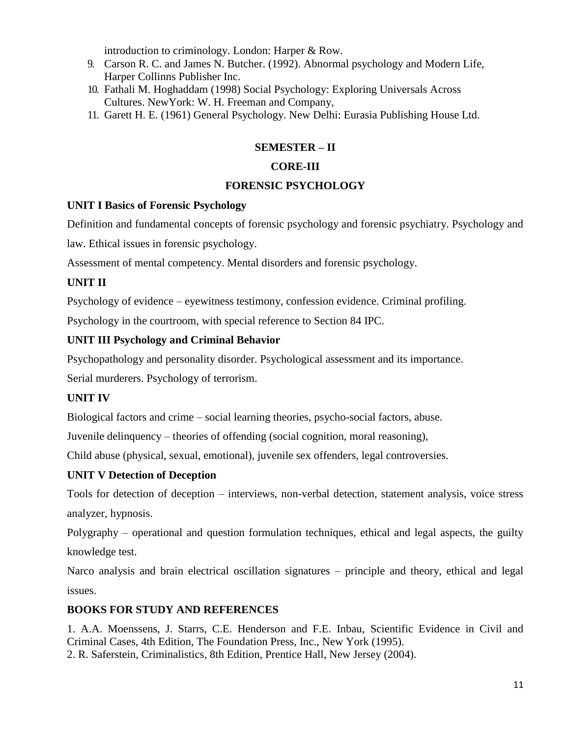introduction to criminology. London: Harper & Row.

- 9. Carson R. C. and James N. Butcher. (1992). Abnormal psychology and Modern Life, Harper Collinns Publisher Inc.
- 10. Fathali M. Hoghaddam (1998) Social Psychology: Exploring Universals Across Cultures. NewYork: W. H. Freeman and Company,
- 11. Garett H. E. (1961) General Psychology. New Delhi: Eurasia Publishing House Ltd.

## **SEMESTER – II**

## **CORE-III**

## **FORENSIC PSYCHOLOGY**

## **UNIT I Basics of Forensic Psychology**

Definition and fundamental concepts of forensic psychology and forensic psychiatry. Psychology and

law. Ethical issues in forensic psychology.

Assessment of mental competency. Mental disorders and forensic psychology.

## **UNIT II**

Psychology of evidence – eyewitness testimony, confession evidence. Criminal profiling.

Psychology in the courtroom, with special reference to Section 84 IPC.

## **UNIT III Psychology and Criminal Behavior**

Psychopathology and personality disorder. Psychological assessment and its importance.

Serial murderers. Psychology of terrorism.

## **UNIT IV**

Biological factors and crime – social learning theories, psycho-social factors, abuse.

Juvenile delinquency – theories of offending (social cognition, moral reasoning),

Child abuse (physical, sexual, emotional), juvenile sex offenders, legal controversies.

## **UNIT V Detection of Deception**

Tools for detection of deception – interviews, non-verbal detection, statement analysis, voice stress analyzer, hypnosis.

Polygraphy – operational and question formulation techniques, ethical and legal aspects, the guilty knowledge test.

Narco analysis and brain electrical oscillation signatures – principle and theory, ethical and legal issues.

## **BOOKS FOR STUDY AND REFERENCES**

1. A.A. Moenssens, J. Starrs, C.E. Henderson and F.E. Inbau, Scientific Evidence in Civil and Criminal Cases, 4th Edition, The Foundation Press, Inc., New York (1995). 2. R. Saferstein, Criminalistics, 8th Edition, Prentice Hall, New Jersey (2004).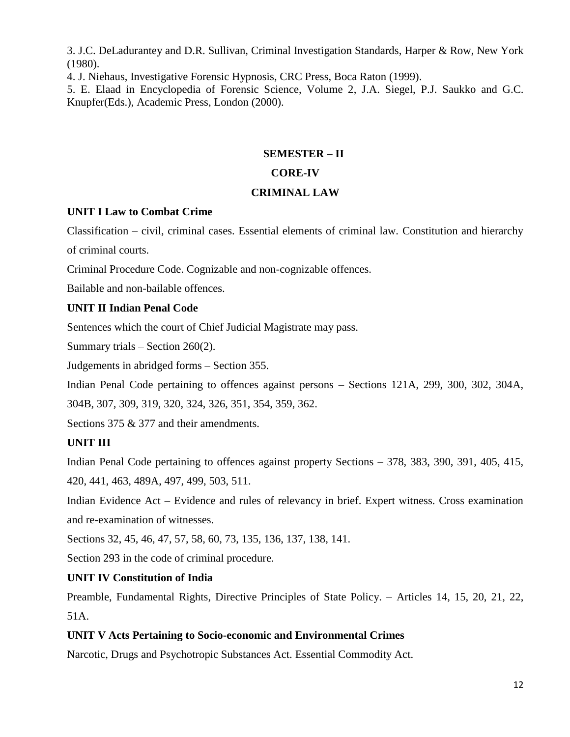3. J.C. DeLadurantey and D.R. Sullivan, Criminal Investigation Standards, Harper & Row, New York (1980).

4. J. Niehaus, Investigative Forensic Hypnosis, CRC Press, Boca Raton (1999).

5. E. Elaad in Encyclopedia of Forensic Science, Volume 2, J.A. Siegel, P.J. Saukko and G.C. Knupfer(Eds.), Academic Press, London (2000).

## **SEMESTER – II CORE-IV**

## **CRIMINAL LAW**

## **UNIT I Law to Combat Crime**

Classification – civil, criminal cases. Essential elements of criminal law. Constitution and hierarchy of criminal courts.

Criminal Procedure Code. Cognizable and non-cognizable offences.

Bailable and non-bailable offences.

## **UNIT II Indian Penal Code**

Sentences which the court of Chief Judicial Magistrate may pass.

Summary trials – Section 260(2).

Judgements in abridged forms – Section 355.

Indian Penal Code pertaining to offences against persons – Sections 121A, 299, 300, 302, 304A, 304B, 307, 309, 319, 320, 324, 326, 351, 354, 359, 362.

Sections 375 & 377 and their amendments.

## **UNIT III**

Indian Penal Code pertaining to offences against property Sections – 378, 383, 390, 391, 405, 415, 420, 441, 463, 489A, 497, 499, 503, 511.

Indian Evidence Act – Evidence and rules of relevancy in brief. Expert witness. Cross examination and re-examination of witnesses.

Sections 32, 45, 46, 47, 57, 58, 60, 73, 135, 136, 137, 138, 141.

Section 293 in the code of criminal procedure.

## **UNIT IV Constitution of India**

Preamble, Fundamental Rights, Directive Principles of State Policy. – Articles 14, 15, 20, 21, 22, 51A.

## **UNIT V Acts Pertaining to Socio-economic and Environmental Crimes**

Narcotic, Drugs and Psychotropic Substances Act. Essential Commodity Act.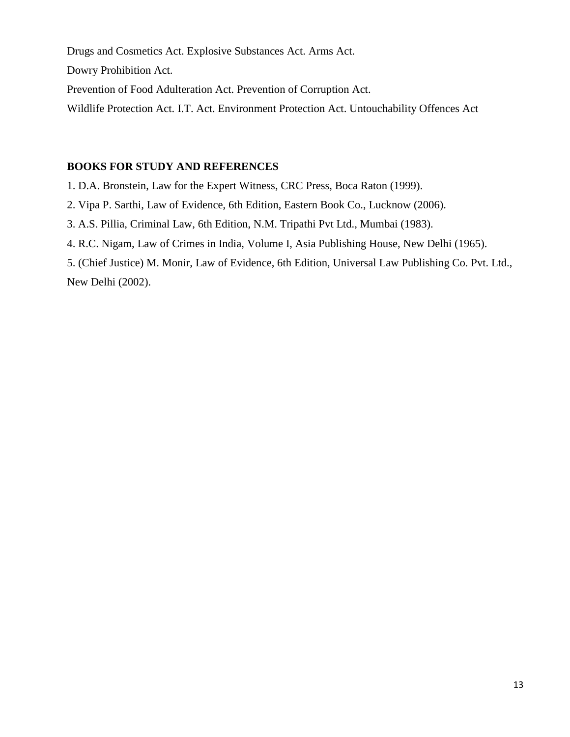Drugs and Cosmetics Act. Explosive Substances Act. Arms Act.

Dowry Prohibition Act.

Prevention of Food Adulteration Act. Prevention of Corruption Act.

Wildlife Protection Act. I.T. Act. Environment Protection Act. Untouchability Offences Act

## **BOOKS FOR STUDY AND REFERENCES**

1. D.A. Bronstein, Law for the Expert Witness, CRC Press, Boca Raton (1999).

2. Vipa P. Sarthi, Law of Evidence, 6th Edition, Eastern Book Co., Lucknow (2006).

3. A.S. Pillia, Criminal Law, 6th Edition, N.M. Tripathi Pvt Ltd., Mumbai (1983).

4. R.C. Nigam, Law of Crimes in India, Volume I, Asia Publishing House, New Delhi (1965).

5. (Chief Justice) M. Monir, Law of Evidence, 6th Edition, Universal Law Publishing Co. Pvt. Ltd., New Delhi (2002).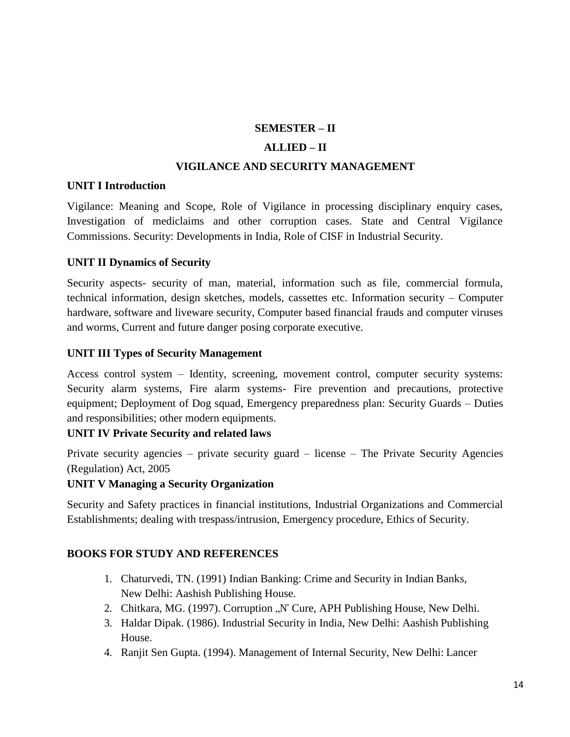## **SEMESTER – II**

## **ALLIED – II**

#### **VIGILANCE AND SECURITY MANAGEMENT**

#### **UNIT I Introduction**

Vigilance: Meaning and Scope, Role of Vigilance in processing disciplinary enquiry cases, Investigation of mediclaims and other corruption cases. State and Central Vigilance Commissions. Security: Developments in India, Role of CISF in Industrial Security.

## **UNIT II Dynamics of Security**

Security aspects- security of man, material, information such as file, commercial formula, technical information, design sketches, models, cassettes etc. Information security – Computer hardware, software and liveware security, Computer based financial frauds and computer viruses and worms, Current and future danger posing corporate executive.

## **UNIT III Types of Security Management**

Access control system – Identity, screening, movement control, computer security systems: Security alarm systems, Fire alarm systems- Fire prevention and precautions, protective equipment; Deployment of Dog squad, Emergency preparedness plan: Security Guards – Duties and responsibilities; other modern equipments.

#### **UNIT IV Private Security and related laws**

Private security agencies – private security guard – license – The Private Security Agencies (Regulation) Act, 2005

#### **UNIT V Managing a Security Organization**

Security and Safety practices in financial institutions, Industrial Organizations and Commercial Establishments; dealing with trespass/intrusion, Emergency procedure, Ethics of Security.

## **BOOKS FOR STUDY AND REFERENCES**

- 1. Chaturvedi, TN. (1991) Indian Banking: Crime and Security in Indian Banks, New Delhi: Aashish Publishing House.
- 2. Chitkara, MG. (1997). Corruption "N<sup>"</sup> Cure, APH Publishing House, New Delhi.
- 3. Haldar Dipak. (1986). Industrial Security in India, New Delhi: Aashish Publishing House.
- 4. Ranjit Sen Gupta. (1994). Management of Internal Security, New Delhi: Lancer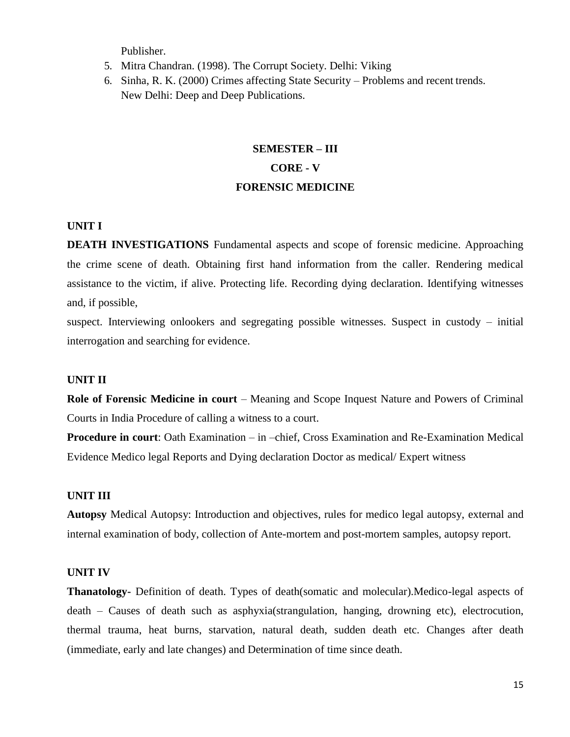Publisher.

- 5. Mitra Chandran. (1998). The Corrupt Society. Delhi: Viking
- 6. Sinha, R. K. (2000) Crimes affecting State Security Problems and recent trends. New Delhi: Deep and Deep Publications.

## **SEMESTER – III CORE - V FORENSIC MEDICINE**

#### **UNIT I**

**DEATH INVESTIGATIONS** Fundamental aspects and scope of forensic medicine. Approaching the crime scene of death. Obtaining first hand information from the caller. Rendering medical assistance to the victim, if alive. Protecting life. Recording dying declaration. Identifying witnesses and, if possible,

suspect. Interviewing onlookers and segregating possible witnesses. Suspect in custody – initial interrogation and searching for evidence.

#### **UNIT II**

**Role of Forensic Medicine in court** – Meaning and Scope Inquest Nature and Powers of Criminal Courts in India Procedure of calling a witness to a court.

**Procedure in court**: Oath Examination – in –chief, Cross Examination and Re-Examination Medical Evidence Medico legal Reports and Dying declaration Doctor as medical/ Expert witness

#### **UNIT III**

**Autopsy** Medical Autopsy: Introduction and objectives, rules for medico legal autopsy, external and internal examination of body, collection of Ante-mortem and post-mortem samples, autopsy report.

## **UNIT IV**

**Thanatology-** Definition of death. Types of death(somatic and molecular).Medico-legal aspects of death – Causes of death such as asphyxia(strangulation, hanging, drowning etc), electrocution, thermal trauma, heat burns, starvation, natural death, sudden death etc. Changes after death (immediate, early and late changes) and Determination of time since death.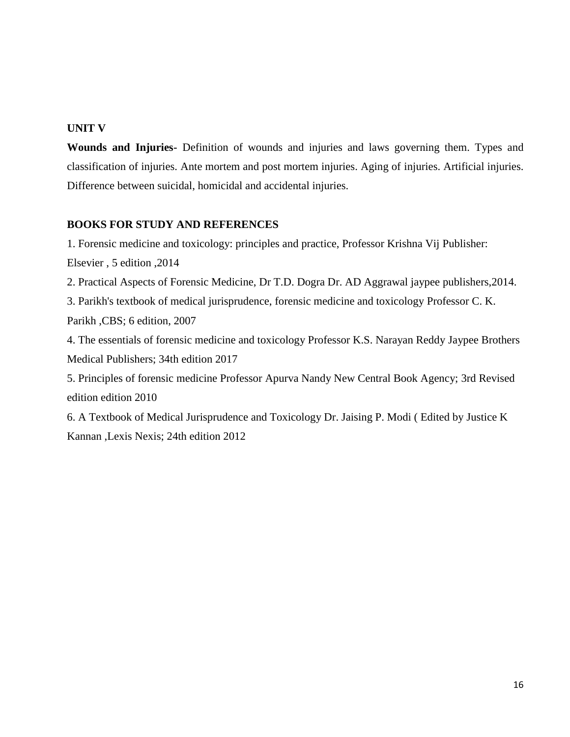## **UNIT V**

**Wounds and Injuries-** Definition of wounds and injuries and laws governing them. Types and classification of injuries. Ante mortem and post mortem injuries. Aging of injuries. Artificial injuries. Difference between suicidal, homicidal and accidental injuries.

## **BOOKS FOR STUDY AND REFERENCES**

1. Forensic medicine and toxicology: principles and practice, Professor Krishna Vij Publisher: Elsevier , 5 edition ,2014

2. Practical Aspects of Forensic Medicine, Dr T.D. Dogra Dr. AD Aggrawal jaypee publishers,2014.

3. Parikh's textbook of medical jurisprudence, forensic medicine and toxicology Professor C. K.

Parikh ,CBS; 6 edition, 2007

4. The essentials of forensic medicine and toxicology Professor K.S. Narayan Reddy Jaypee Brothers Medical Publishers; 34th edition 2017

5. Principles of forensic medicine Professor Apurva Nandy New Central Book Agency; 3rd Revised edition edition 2010

6. A Textbook of Medical Jurisprudence and Toxicology Dr. Jaising P. Modi ( Edited by Justice K Kannan ,Lexis Nexis; 24th edition 2012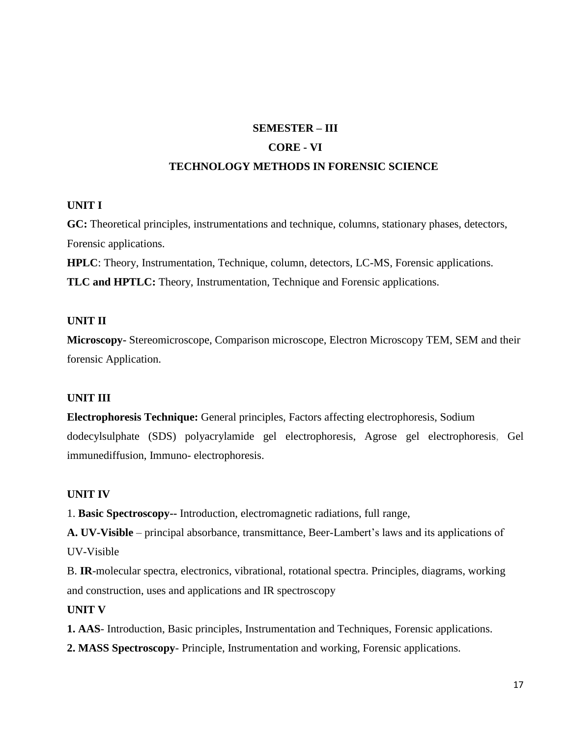## **SEMESTER – III CORE - VI**

## **TECHNOLOGY METHODS IN FORENSIC SCIENCE**

## **UNIT I**

**GC:** Theoretical principles, instrumentations and technique, columns, stationary phases, detectors, Forensic applications.

**HPLC**: Theory, Instrumentation, Technique, column, detectors, LC-MS, Forensic applications.

**TLC and HPTLC:** Theory, Instrumentation, Technique and Forensic applications.

## **UNIT II**

**Microscopy-** Stereomicroscope, Comparison microscope, Electron Microscopy TEM, SEM and their forensic Application.

## **UNIT III**

**Electrophoresis Technique:** General principles, Factors affecting electrophoresis, Sodium dodecylsulphate (SDS) polyacrylamide gel electrophoresis, Agrose gel electrophoresis, Gel immunediffusion, Immuno- electrophoresis.

## **UNIT IV**

1. **Basic Spectroscopy--** Introduction, electromagnetic radiations, full range,

**A. UV-Visible** – principal absorbance, transmittance, Beer-Lambert's laws and its applications of UV-Visible

B. **IR**-molecular spectra, electronics, vibrational, rotational spectra. Principles, diagrams, working and construction, uses and applications and IR spectroscopy

## **UNIT V**

**1. AAS**- Introduction, Basic principles, Instrumentation and Techniques, Forensic applications.

**2. MASS Spectroscopy**- Principle, Instrumentation and working, Forensic applications.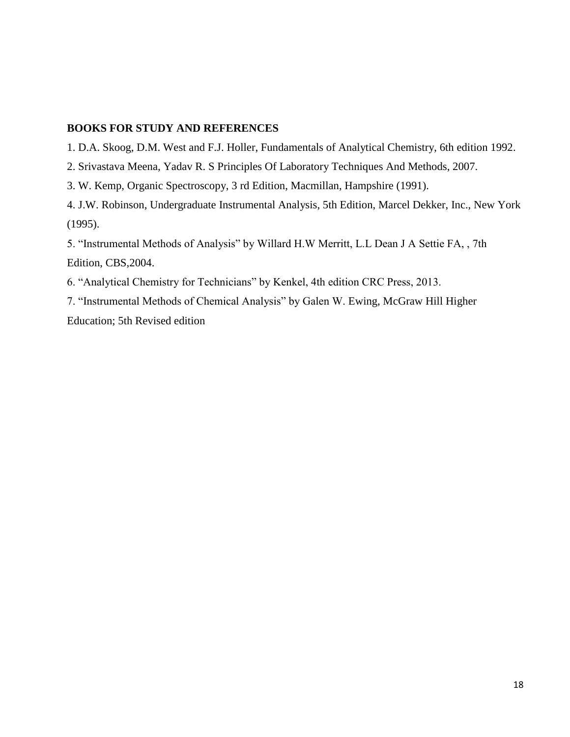#### **BOOKS FOR STUDY AND REFERENCES**

- 1. D.A. Skoog, D.M. West and F.J. Holler, Fundamentals of Analytical Chemistry, 6th edition 1992.
- 2. Srivastava Meena, Yadav R. S Principles Of Laboratory Techniques And Methods, 2007.
- 3. W. Kemp, Organic Spectroscopy, 3 rd Edition, Macmillan, Hampshire (1991).

4. J.W. Robinson, Undergraduate Instrumental Analysis, 5th Edition, Marcel Dekker, Inc., New York (1995).

5. "Instrumental Methods of Analysis" by Willard H.W Merritt, L.L Dean J A Settie FA, , 7th Edition, CBS,2004.

6. "Analytical Chemistry for Technicians" by Kenkel, 4th edition CRC Press, 2013.

7. "Instrumental Methods of Chemical Analysis" by Galen W. Ewing, McGraw Hill Higher Education; 5th Revised edition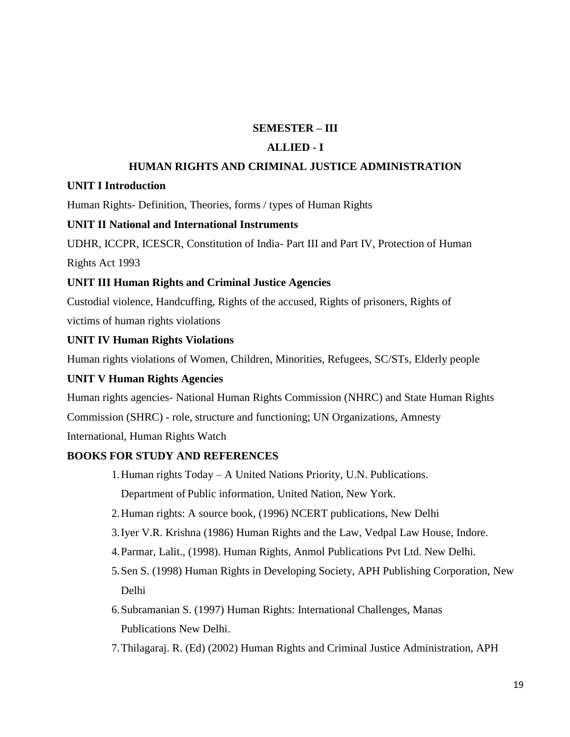## **SEMESTER – III**

#### **ALLIED - I**

#### **HUMAN RIGHTS AND CRIMINAL JUSTICE ADMINISTRATION**

#### **UNIT I Introduction**

Human Rights- Definition, Theories, forms / types of Human Rights

#### **UNIT II National and International Instruments**

UDHR, ICCPR, ICESCR, Constitution of India- Part III and Part IV, Protection of Human

Rights Act 1993

#### **UNIT III Human Rights and Criminal Justice Agencies**

Custodial violence, Handcuffing, Rights of the accused, Rights of prisoners, Rights of victims of human rights violations

#### **UNIT IV Human Rights Violations**

Human rights violations of Women, Children, Minorities, Refugees, SC/STs, Elderly people

#### **UNIT V Human Rights Agencies**

Human rights agencies- National Human Rights Commission (NHRC) and State Human Rights Commission (SHRC) - role, structure and functioning; UN Organizations, Amnesty International, Human Rights Watch

#### **BOOKS FOR STUDY AND REFERENCES**

- 1.Human rights Today A United Nations Priority, U.N. Publications. Department of Public information, United Nation, New York.
- 2.Human rights: A source book, (1996) NCERT publications, New Delhi
- 3.Iyer V.R. Krishna (1986) Human Rights and the Law, Vedpal Law House, Indore.
- 4.Parmar, Lalit., (1998). Human Rights, Anmol Publications Pvt Ltd. New Delhi.
- 5.Sen S. (1998) Human Rights in Developing Society, APH Publishing Corporation, New Delhi
- 6.Subramanian S. (1997) Human Rights: International Challenges, Manas Publications New Delhi.
- 7.Thilagaraj. R. (Ed) (2002) Human Rights and Criminal Justice Administration, APH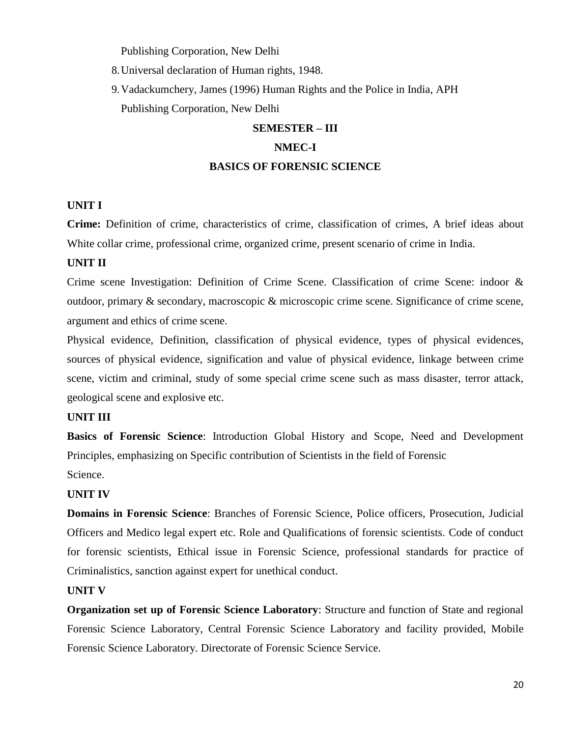Publishing Corporation, New Delhi

8.Universal declaration of Human rights, 1948.

9.Vadackumchery, James (1996) Human Rights and the Police in India, APH Publishing Corporation, New Delhi

## **SEMESTER – III NMEC-I BASICS OF FORENSIC SCIENCE**

#### **UNIT I**

**Crime:** Definition of crime, characteristics of crime, classification of crimes, A brief ideas about White collar crime, professional crime, organized crime, present scenario of crime in India.

#### **UNIT II**

Crime scene Investigation: Definition of Crime Scene. Classification of crime Scene: indoor & outdoor, primary & secondary, macroscopic & microscopic crime scene. Significance of crime scene, argument and ethics of crime scene.

Physical evidence, Definition, classification of physical evidence, types of physical evidences, sources of physical evidence, signification and value of physical evidence, linkage between crime scene, victim and criminal, study of some special crime scene such as mass disaster, terror attack, geological scene and explosive etc.

#### **UNIT III**

**Basics of Forensic Science**: Introduction Global History and Scope, Need and Development Principles, emphasizing on Specific contribution of Scientists in the field of Forensic Science.

#### **UNIT IV**

**Domains in Forensic Science**: Branches of Forensic Science, Police officers, Prosecution, Judicial Officers and Medico legal expert etc. Role and Qualifications of forensic scientists. Code of conduct for forensic scientists, Ethical issue in Forensic Science, professional standards for practice of Criminalistics, sanction against expert for unethical conduct.

#### **UNIT V**

**Organization set up of Forensic Science Laboratory**: Structure and function of State and regional Forensic Science Laboratory, Central Forensic Science Laboratory and facility provided, Mobile Forensic Science Laboratory. Directorate of Forensic Science Service.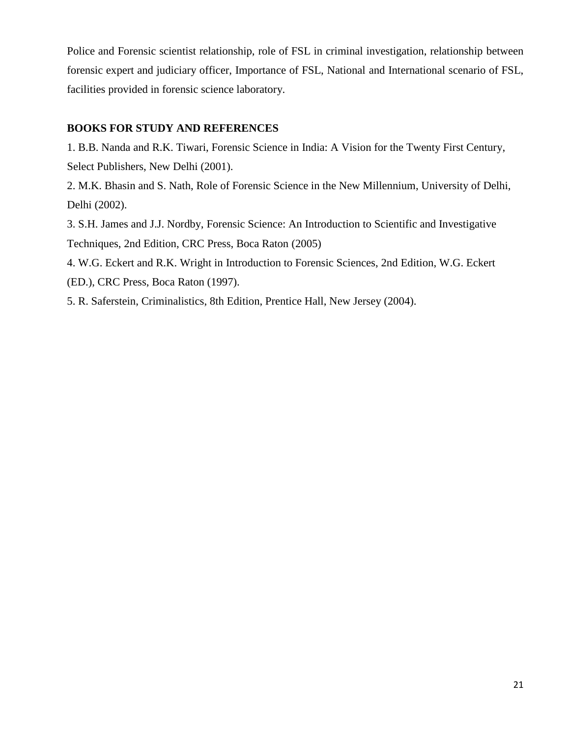Police and Forensic scientist relationship, role of FSL in criminal investigation, relationship between forensic expert and judiciary officer, Importance of FSL, National and International scenario of FSL, facilities provided in forensic science laboratory.

## **BOOKS FOR STUDY AND REFERENCES**

1. B.B. Nanda and R.K. Tiwari, Forensic Science in India: A Vision for the Twenty First Century, Select Publishers, New Delhi (2001).

2. M.K. Bhasin and S. Nath, Role of Forensic Science in the New Millennium, University of Delhi, Delhi (2002).

3. S.H. James and J.J. Nordby, Forensic Science: An Introduction to Scientific and Investigative Techniques, 2nd Edition, CRC Press, Boca Raton (2005)

4. W.G. Eckert and R.K. Wright in Introduction to Forensic Sciences, 2nd Edition, W.G. Eckert (ED.), CRC Press, Boca Raton (1997).

5. R. Saferstein, Criminalistics, 8th Edition, Prentice Hall, New Jersey (2004).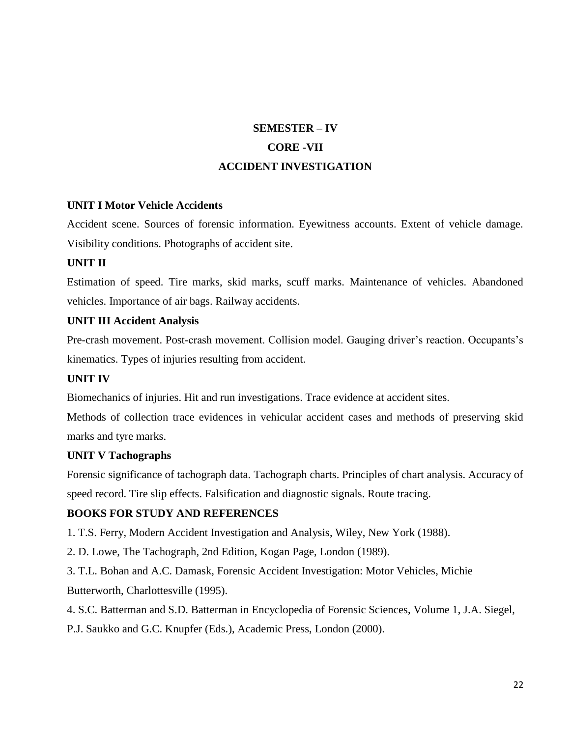## **SEMESTER – IV CORE -VII ACCIDENT INVESTIGATION**

## **UNIT I Motor Vehicle Accidents**

Accident scene. Sources of forensic information. Eyewitness accounts. Extent of vehicle damage. Visibility conditions. Photographs of accident site.

#### **UNIT II**

Estimation of speed. Tire marks, skid marks, scuff marks. Maintenance of vehicles. Abandoned vehicles. Importance of air bags. Railway accidents.

#### **UNIT III Accident Analysis**

Pre-crash movement. Post-crash movement. Collision model. Gauging driver's reaction. Occupants's kinematics. Types of injuries resulting from accident.

#### **UNIT IV**

Biomechanics of injuries. Hit and run investigations. Trace evidence at accident sites.

Methods of collection trace evidences in vehicular accident cases and methods of preserving skid marks and tyre marks.

#### **UNIT V Tachographs**

Forensic significance of tachograph data. Tachograph charts. Principles of chart analysis. Accuracy of speed record. Tire slip effects. Falsification and diagnostic signals. Route tracing.

## **BOOKS FOR STUDY AND REFERENCES**

1. T.S. Ferry, Modern Accident Investigation and Analysis, Wiley, New York (1988).

2. D. Lowe, The Tachograph, 2nd Edition, Kogan Page, London (1989).

3. T.L. Bohan and A.C. Damask, Forensic Accident Investigation: Motor Vehicles, Michie Butterworth, Charlottesville (1995).

4. S.C. Batterman and S.D. Batterman in Encyclopedia of Forensic Sciences, Volume 1, J.A. Siegel,

P.J. Saukko and G.C. Knupfer (Eds.), Academic Press, London (2000).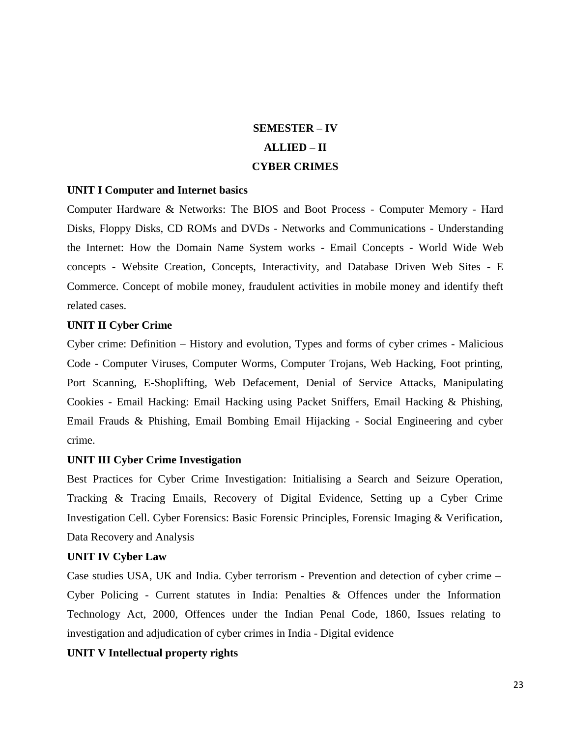## **SEMESTER – IV ALLIED – II CYBER CRIMES**

#### **UNIT I Computer and Internet basics**

Computer Hardware & Networks: The BIOS and Boot Process - Computer Memory - Hard Disks, Floppy Disks, CD ROMs and DVDs - Networks and Communications - Understanding the Internet: How the Domain Name System works - Email Concepts - World Wide Web concepts - Website Creation, Concepts, Interactivity, and Database Driven Web Sites - E Commerce. Concept of mobile money, fraudulent activities in mobile money and identify theft related cases.

#### **UNIT II Cyber Crime**

Cyber crime: Definition – History and evolution, Types and forms of cyber crimes - Malicious Code - Computer Viruses, Computer Worms, Computer Trojans, Web Hacking, Foot printing, Port Scanning, E-Shoplifting, Web Defacement, Denial of Service Attacks, Manipulating Cookies - Email Hacking: Email Hacking using Packet Sniffers, Email Hacking & Phishing, Email Frauds & Phishing, Email Bombing Email Hijacking - Social Engineering and cyber crime.

#### **UNIT III Cyber Crime Investigation**

Best Practices for Cyber Crime Investigation: Initialising a Search and Seizure Operation, Tracking & Tracing Emails, Recovery of Digital Evidence, Setting up a Cyber Crime Investigation Cell. Cyber Forensics: Basic Forensic Principles, Forensic Imaging & Verification, Data Recovery and Analysis

#### **UNIT IV Cyber Law**

Case studies USA, UK and India. Cyber terrorism - Prevention and detection of cyber crime – Cyber Policing - Current statutes in India: Penalties & Offences under the Information Technology Act, 2000, Offences under the Indian Penal Code, 1860, Issues relating to investigation and adjudication of cyber crimes in India - Digital evidence

#### **UNIT V Intellectual property rights**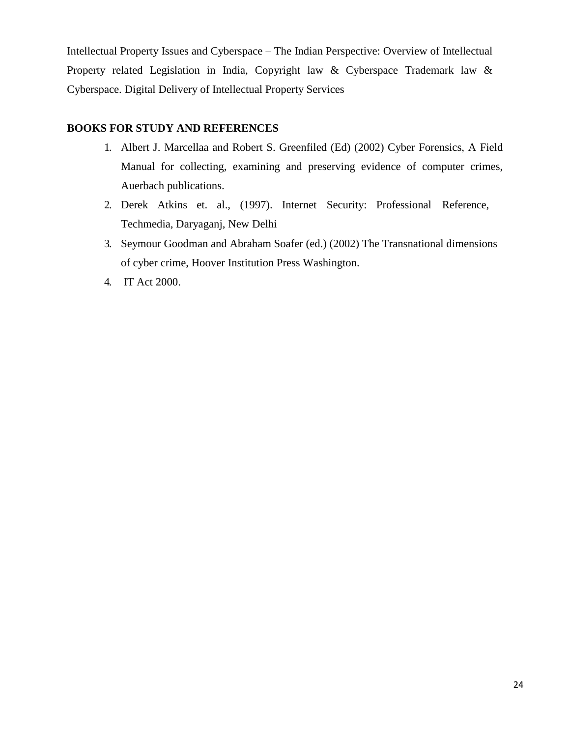Intellectual Property Issues and Cyberspace – The Indian Perspective: Overview of Intellectual Property related Legislation in India, Copyright law & Cyberspace Trademark law & Cyberspace. Digital Delivery of Intellectual Property Services

## **BOOKS FOR STUDY AND REFERENCES**

- 1. Albert J. Marcellaa and Robert S. Greenfiled (Ed) (2002) Cyber Forensics, A Field Manual for collecting, examining and preserving evidence of computer crimes, Auerbach publications.
- 2. Derek Atkins et. al., (1997). Internet Security: Professional Reference, Techmedia, Daryaganj, New Delhi
- 3. Seymour Goodman and Abraham Soafer (ed.) (2002) The Transnational dimensions of cyber crime, Hoover Institution Press Washington.
- 4. IT Act 2000.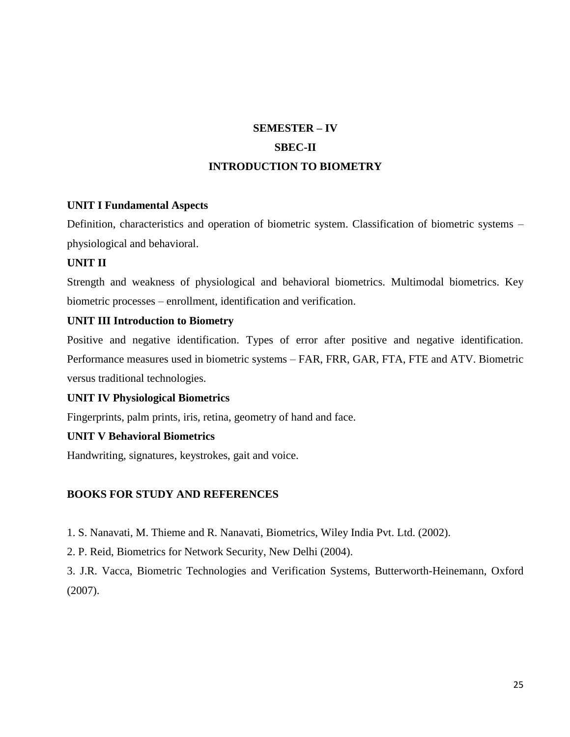## **SEMESTER – IV SBEC-II INTRODUCTION TO BIOMETRY**

## **UNIT I Fundamental Aspects**

Definition, characteristics and operation of biometric system. Classification of biometric systems – physiological and behavioral.

## **UNIT II**

Strength and weakness of physiological and behavioral biometrics. Multimodal biometrics. Key biometric processes – enrollment, identification and verification.

## **UNIT III Introduction to Biometry**

Positive and negative identification. Types of error after positive and negative identification. Performance measures used in biometric systems – FAR, FRR, GAR, FTA, FTE and ATV. Biometric versus traditional technologies.

#### **UNIT IV Physiological Biometrics**

Fingerprints, palm prints, iris, retina, geometry of hand and face.

## **UNIT V Behavioral Biometrics**

Handwriting, signatures, keystrokes, gait and voice.

## **BOOKS FOR STUDY AND REFERENCES**

1. S. Nanavati, M. Thieme and R. Nanavati, Biometrics, Wiley India Pvt. Ltd. (2002).

2. P. Reid, Biometrics for Network Security, New Delhi (2004).

3. J.R. Vacca, Biometric Technologies and Verification Systems, Butterworth-Heinemann, Oxford (2007).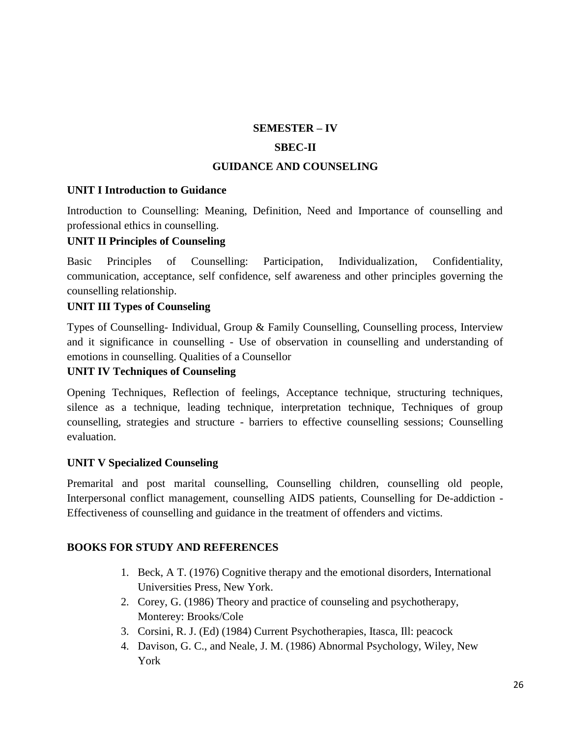#### **SEMESTER – IV**

## **SBEC-II**

## **GUIDANCE AND COUNSELING**

#### **UNIT I Introduction to Guidance**

Introduction to Counselling: Meaning, Definition, Need and Importance of counselling and professional ethics in counselling.

#### **UNIT II Principles of Counseling**

Basic Principles of Counselling: Participation, Individualization, Confidentiality, communication, acceptance, self confidence, self awareness and other principles governing the counselling relationship.

#### **UNIT III Types of Counseling**

Types of Counselling- Individual, Group & Family Counselling, Counselling process, Interview and it significance in counselling - Use of observation in counselling and understanding of emotions in counselling. Qualities of a Counsellor

#### **UNIT IV Techniques of Counseling**

Opening Techniques, Reflection of feelings, Acceptance technique, structuring techniques, silence as a technique, leading technique, interpretation technique, Techniques of group counselling, strategies and structure - barriers to effective counselling sessions; Counselling evaluation.

#### **UNIT V Specialized Counseling**

Premarital and post marital counselling, Counselling children, counselling old people, Interpersonal conflict management, counselling AIDS patients, Counselling for De-addiction - Effectiveness of counselling and guidance in the treatment of offenders and victims.

#### **BOOKS FOR STUDY AND REFERENCES**

- 1. Beck, A T. (1976) Cognitive therapy and the emotional disorders, International Universities Press, New York.
- 2. Corey, G. (1986) Theory and practice of counseling and psychotherapy, Monterey: Brooks/Cole
- 3. Corsini, R. J. (Ed) (1984) Current Psychotherapies, Itasca, Ill: peacock
- 4. Davison, G. C., and Neale, J. M. (1986) Abnormal Psychology, Wiley, New York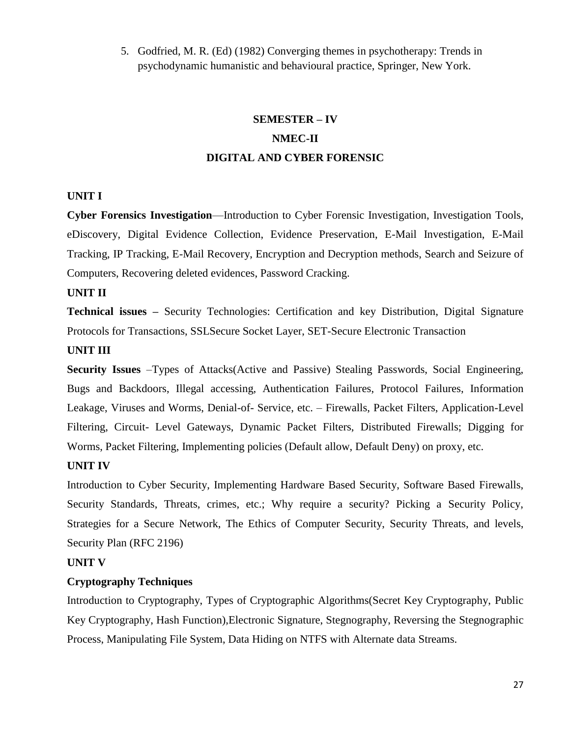5. Godfried, M. R. (Ed) (1982) Converging themes in psychotherapy: Trends in psychodynamic humanistic and behavioural practice, Springer, New York.

## **SEMESTER – IV NMEC-II DIGITAL AND CYBER FORENSIC**

#### **UNIT I**

**Cyber Forensics Investigation**—Introduction to Cyber Forensic Investigation, Investigation Tools, eDiscovery, Digital Evidence Collection, Evidence Preservation, E-Mail Investigation, E-Mail Tracking, IP Tracking, E-Mail Recovery, Encryption and Decryption methods, Search and Seizure of Computers, Recovering deleted evidences, Password Cracking.

#### **UNIT II**

**Technical issues –** Security Technologies: Certification and key Distribution, Digital Signature Protocols for Transactions, SSLSecure Socket Layer, SET-Secure Electronic Transaction

#### **UNIT III**

**Security Issues** –Types of Attacks(Active and Passive) Stealing Passwords, Social Engineering, Bugs and Backdoors, Illegal accessing, Authentication Failures, Protocol Failures, Information Leakage, Viruses and Worms, Denial-of- Service, etc. – Firewalls, Packet Filters, Application-Level Filtering, Circuit- Level Gateways, Dynamic Packet Filters, Distributed Firewalls; Digging for Worms, Packet Filtering, Implementing policies (Default allow, Default Deny) on proxy, etc.

#### **UNIT IV**

Introduction to Cyber Security, Implementing Hardware Based Security, Software Based Firewalls, Security Standards, Threats, crimes, etc.; Why require a security? Picking a Security Policy, Strategies for a Secure Network, The Ethics of Computer Security, Security Threats, and levels, Security Plan (RFC 2196)

#### **UNIT V**

#### **Cryptography Techniques**

Introduction to Cryptography, Types of Cryptographic Algorithms(Secret Key Cryptography, Public Key Cryptography, Hash Function),Electronic Signature, Stegnography, Reversing the Stegnographic Process, Manipulating File System, Data Hiding on NTFS with Alternate data Streams.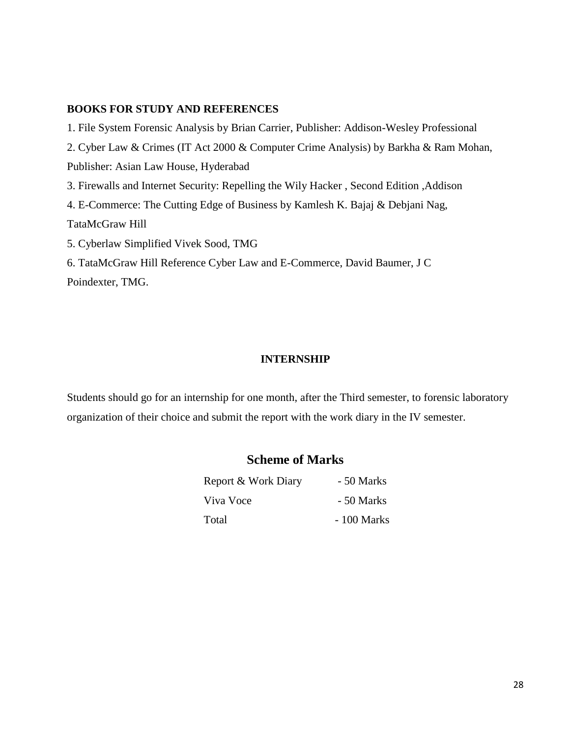#### **BOOKS FOR STUDY AND REFERENCES**

1. File System Forensic Analysis by Brian Carrier, Publisher: Addison-Wesley Professional 2. Cyber Law & Crimes (IT Act 2000 & Computer Crime Analysis) by Barkha & Ram Mohan, Publisher: Asian Law House, Hyderabad 3. Firewalls and Internet Security: Repelling the Wily Hacker , Second Edition ,Addison 4. E-Commerce: The Cutting Edge of Business by Kamlesh K. Bajaj & Debjani Nag, TataMcGraw Hill 5. Cyberlaw Simplified Vivek Sood, TMG 6. TataMcGraw Hill Reference Cyber Law and E-Commerce, David Baumer, J C Poindexter, TMG.

#### **INTERNSHIP**

Students should go for an internship for one month, after the Third semester, to forensic laboratory organization of their choice and submit the report with the work diary in the IV semester.

## **Scheme of Marks**

| Report & Work Diary | - 50 Marks  |
|---------------------|-------------|
| Viva Voce           | - 50 Marks  |
| Total               | - 100 Marks |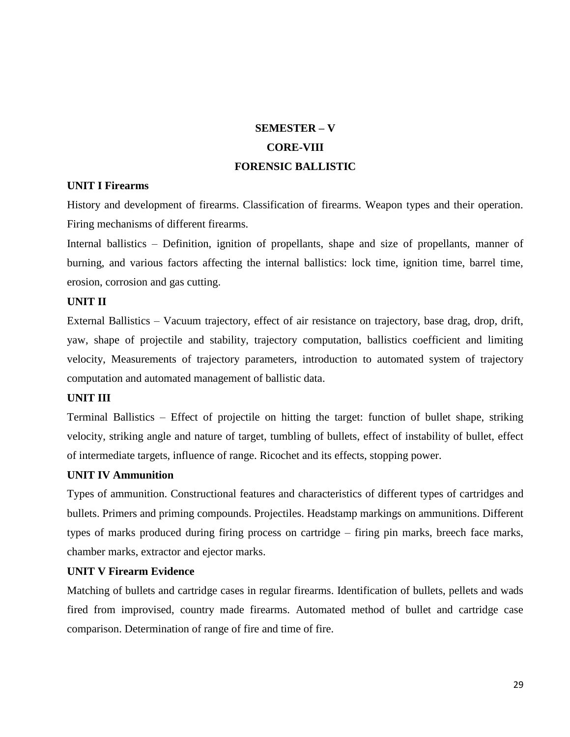## **SEMESTER – V CORE-VIII FORENSIC BALLISTIC**

## **UNIT I Firearms**

History and development of firearms. Classification of firearms. Weapon types and their operation. Firing mechanisms of different firearms.

Internal ballistics – Definition, ignition of propellants, shape and size of propellants, manner of burning, and various factors affecting the internal ballistics: lock time, ignition time, barrel time, erosion, corrosion and gas cutting.

#### **UNIT II**

External Ballistics – Vacuum trajectory, effect of air resistance on trajectory, base drag, drop, drift, yaw, shape of projectile and stability, trajectory computation, ballistics coefficient and limiting velocity, Measurements of trajectory parameters, introduction to automated system of trajectory computation and automated management of ballistic data.

#### **UNIT III**

Terminal Ballistics – Effect of projectile on hitting the target: function of bullet shape, striking velocity, striking angle and nature of target, tumbling of bullets, effect of instability of bullet, effect of intermediate targets, influence of range. Ricochet and its effects, stopping power.

#### **UNIT IV Ammunition**

Types of ammunition. Constructional features and characteristics of different types of cartridges and bullets. Primers and priming compounds. Projectiles. Headstamp markings on ammunitions. Different types of marks produced during firing process on cartridge – firing pin marks, breech face marks, chamber marks, extractor and ejector marks.

## **UNIT V Firearm Evidence**

Matching of bullets and cartridge cases in regular firearms. Identification of bullets, pellets and wads fired from improvised, country made firearms. Automated method of bullet and cartridge case comparison. Determination of range of fire and time of fire.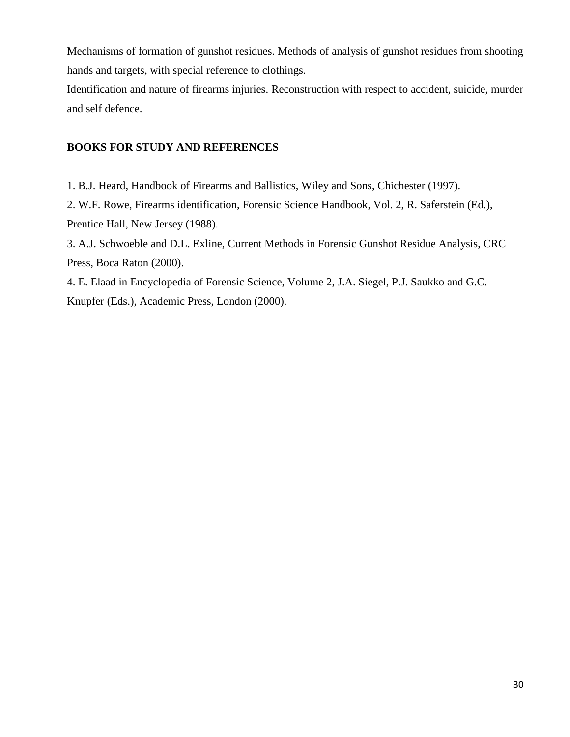Mechanisms of formation of gunshot residues. Methods of analysis of gunshot residues from shooting hands and targets, with special reference to clothings.

Identification and nature of firearms injuries. Reconstruction with respect to accident, suicide, murder and self defence.

## **BOOKS FOR STUDY AND REFERENCES**

1. B.J. Heard, Handbook of Firearms and Ballistics, Wiley and Sons, Chichester (1997).

2. W.F. Rowe, Firearms identification, Forensic Science Handbook, Vol. 2, R. Saferstein (Ed.), Prentice Hall, New Jersey (1988).

3. A.J. Schwoeble and D.L. Exline, Current Methods in Forensic Gunshot Residue Analysis, CRC Press, Boca Raton (2000).

4. E. Elaad in Encyclopedia of Forensic Science, Volume 2, J.A. Siegel, P.J. Saukko and G.C. Knupfer (Eds.), Academic Press, London (2000).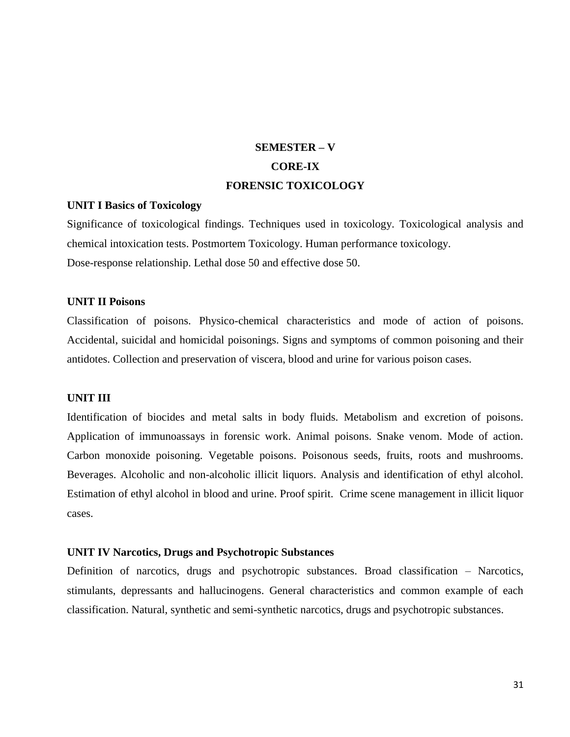## **SEMESTER – V CORE-IX FORENSIC TOXICOLOGY**

#### **UNIT I Basics of Toxicology**

Significance of toxicological findings. Techniques used in toxicology. Toxicological analysis and chemical intoxication tests. Postmortem Toxicology. Human performance toxicology. Dose-response relationship. Lethal dose 50 and effective dose 50.

#### **UNIT II Poisons**

Classification of poisons. Physico-chemical characteristics and mode of action of poisons. Accidental, suicidal and homicidal poisonings. Signs and symptoms of common poisoning and their antidotes. Collection and preservation of viscera, blood and urine for various poison cases.

#### **UNIT III**

Identification of biocides and metal salts in body fluids. Metabolism and excretion of poisons. Application of immunoassays in forensic work. Animal poisons. Snake venom. Mode of action. Carbon monoxide poisoning. Vegetable poisons. Poisonous seeds, fruits, roots and mushrooms. Beverages. Alcoholic and non-alcoholic illicit liquors. Analysis and identification of ethyl alcohol. Estimation of ethyl alcohol in blood and urine. Proof spirit. Crime scene management in illicit liquor cases.

#### **UNIT IV Narcotics, Drugs and Psychotropic Substances**

Definition of narcotics, drugs and psychotropic substances. Broad classification – Narcotics, stimulants, depressants and hallucinogens. General characteristics and common example of each classification. Natural, synthetic and semi-synthetic narcotics, drugs and psychotropic substances.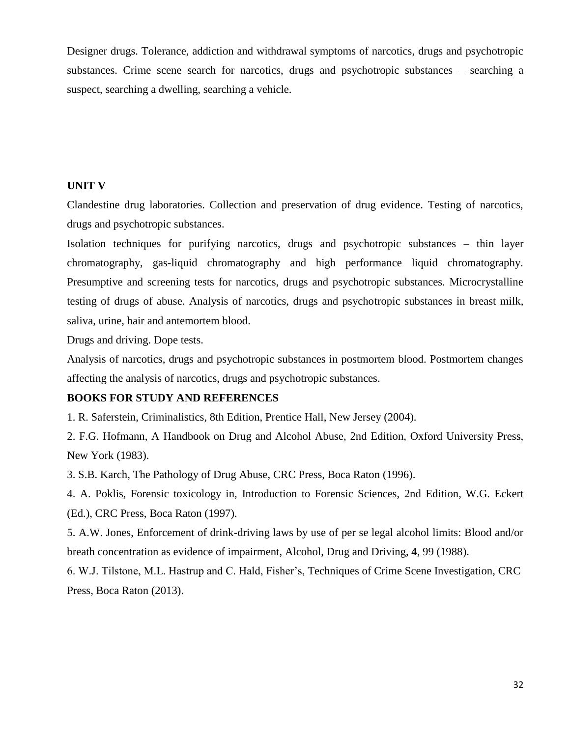Designer drugs. Tolerance, addiction and withdrawal symptoms of narcotics, drugs and psychotropic substances. Crime scene search for narcotics, drugs and psychotropic substances – searching a suspect, searching a dwelling, searching a vehicle.

#### **UNIT V**

Clandestine drug laboratories. Collection and preservation of drug evidence. Testing of narcotics, drugs and psychotropic substances.

Isolation techniques for purifying narcotics, drugs and psychotropic substances – thin layer chromatography, gas-liquid chromatography and high performance liquid chromatography. Presumptive and screening tests for narcotics, drugs and psychotropic substances. Microcrystalline testing of drugs of abuse. Analysis of narcotics, drugs and psychotropic substances in breast milk, saliva, urine, hair and antemortem blood.

Drugs and driving. Dope tests.

Analysis of narcotics, drugs and psychotropic substances in postmortem blood. Postmortem changes affecting the analysis of narcotics, drugs and psychotropic substances.

#### **BOOKS FOR STUDY AND REFERENCES**

1. R. Saferstein, Criminalistics, 8th Edition, Prentice Hall, New Jersey (2004).

2. F.G. Hofmann, A Handbook on Drug and Alcohol Abuse, 2nd Edition, Oxford University Press, New York (1983).

3. S.B. Karch, The Pathology of Drug Abuse, CRC Press, Boca Raton (1996).

4. A. Poklis, Forensic toxicology in, Introduction to Forensic Sciences, 2nd Edition, W.G. Eckert (Ed.), CRC Press, Boca Raton (1997).

5. A.W. Jones, Enforcement of drink-driving laws by use of per se legal alcohol limits: Blood and/or breath concentration as evidence of impairment, Alcohol, Drug and Driving, **4**, 99 (1988).

6. W.J. Tilstone, M.L. Hastrup and C. Hald, Fisher's, Techniques of Crime Scene Investigation, CRC Press, Boca Raton (2013).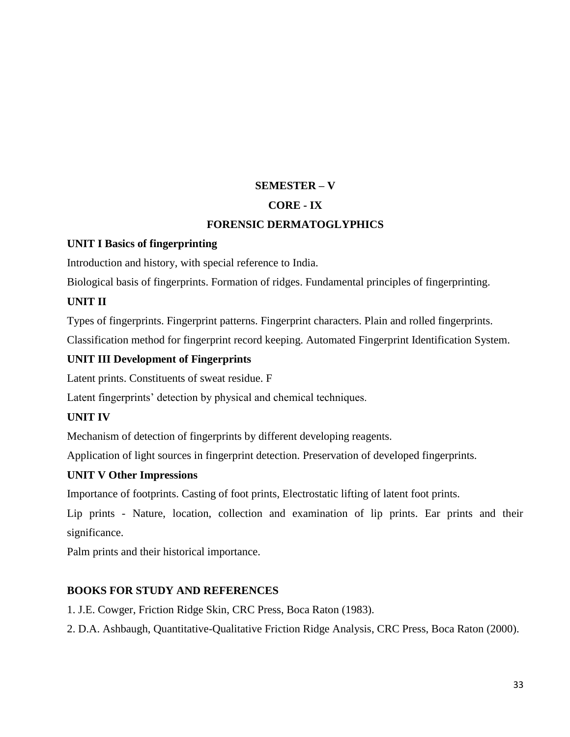## **SEMESTER – V**

## **CORE - IX**

## **FORENSIC DERMATOGLYPHICS**

## **UNIT I Basics of fingerprinting**

Introduction and history, with special reference to India.

Biological basis of fingerprints. Formation of ridges. Fundamental principles of fingerprinting.

## **UNIT II**

Types of fingerprints. Fingerprint patterns. Fingerprint characters. Plain and rolled fingerprints.

Classification method for fingerprint record keeping. Automated Fingerprint Identification System.

## **UNIT III Development of Fingerprints**

Latent prints. Constituents of sweat residue. F

Latent fingerprints' detection by physical and chemical techniques.

## **UNIT IV**

Mechanism of detection of fingerprints by different developing reagents.

Application of light sources in fingerprint detection. Preservation of developed fingerprints.

## **UNIT V Other Impressions**

Importance of footprints. Casting of foot prints, Electrostatic lifting of latent foot prints.

Lip prints - Nature, location, collection and examination of lip prints. Ear prints and their significance.

Palm prints and their historical importance.

## **BOOKS FOR STUDY AND REFERENCES**

1. J.E. Cowger, Friction Ridge Skin, CRC Press, Boca Raton (1983).

2. D.A. Ashbaugh, Quantitative-Qualitative Friction Ridge Analysis, CRC Press, Boca Raton (2000).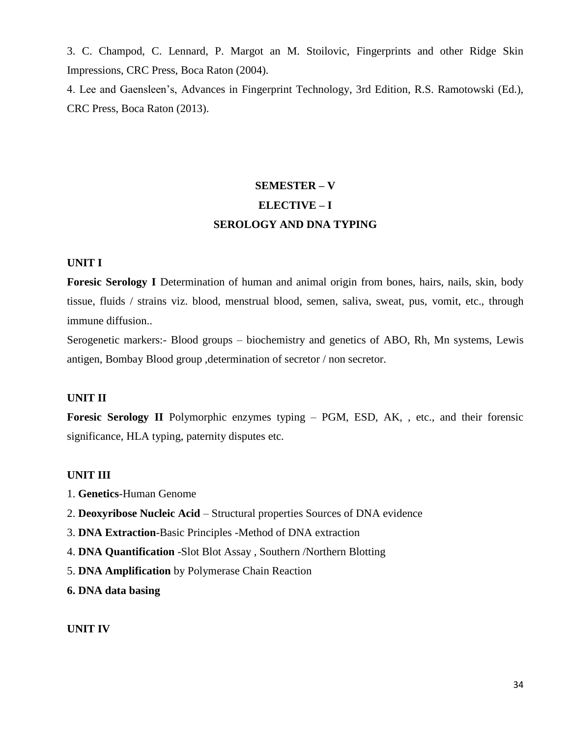3. C. Champod, C. Lennard, P. Margot an M. Stoilovic, Fingerprints and other Ridge Skin Impressions, CRC Press, Boca Raton (2004).

4. Lee and Gaensleen's, Advances in Fingerprint Technology, 3rd Edition, R.S. Ramotowski (Ed.), CRC Press, Boca Raton (2013).

## **SEMESTER – V ELECTIVE – I SEROLOGY AND DNA TYPING**

#### **UNIT I**

**Foresic Serology I** Determination of human and animal origin from bones, hairs, nails, skin, body tissue, fluids / strains viz. blood, menstrual blood, semen, saliva, sweat, pus, vomit, etc., through immune diffusion..

Serogenetic markers:- Blood groups – biochemistry and genetics of ABO, Rh, Mn systems, Lewis antigen, Bombay Blood group ,determination of secretor / non secretor.

#### **UNIT II**

**Foresic Serology II** Polymorphic enzymes typing – PGM, ESD, AK, , etc., and their forensic significance, HLA typing, paternity disputes etc.

#### **UNIT III**

- 1. **Genetics**-Human Genome
- 2. **Deoxyribose Nucleic Acid**  Structural properties Sources of DNA evidence
- 3. **DNA Extraction**-Basic Principles -Method of DNA extraction
- 4. **DNA Quantification** -Slot Blot Assay , Southern /Northern Blotting
- 5. **DNA Amplification** by Polymerase Chain Reaction

**6. DNA data basing**

#### **UNIT IV**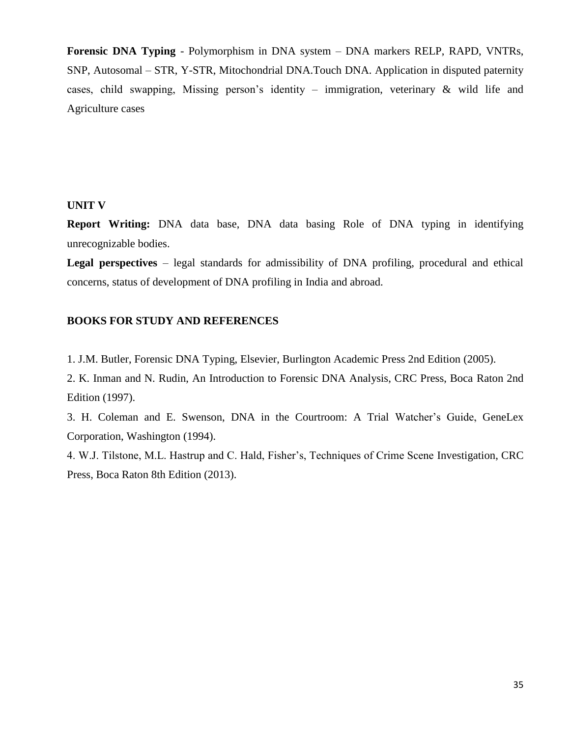**Forensic DNA Typing** - Polymorphism in DNA system – DNA markers RELP, RAPD, VNTRs, SNP, Autosomal – STR, Y-STR, Mitochondrial DNA.Touch DNA. Application in disputed paternity cases, child swapping, Missing person's identity – immigration, veterinary & wild life and Agriculture cases

#### **UNIT V**

**Report Writing:** DNA data base, DNA data basing Role of DNA typing in identifying unrecognizable bodies.

**Legal perspectives** – legal standards for admissibility of DNA profiling, procedural and ethical concerns, status of development of DNA profiling in India and abroad.

#### **BOOKS FOR STUDY AND REFERENCES**

1. J.M. Butler, Forensic DNA Typing, Elsevier, Burlington Academic Press 2nd Edition (2005).

2. K. Inman and N. Rudin, An Introduction to Forensic DNA Analysis, CRC Press, Boca Raton 2nd Edition (1997).

3. H. Coleman and E. Swenson, DNA in the Courtroom: A Trial Watcher's Guide, GeneLex Corporation, Washington (1994).

4. W.J. Tilstone, M.L. Hastrup and C. Hald, Fisher's, Techniques of Crime Scene Investigation, CRC Press, Boca Raton 8th Edition (2013).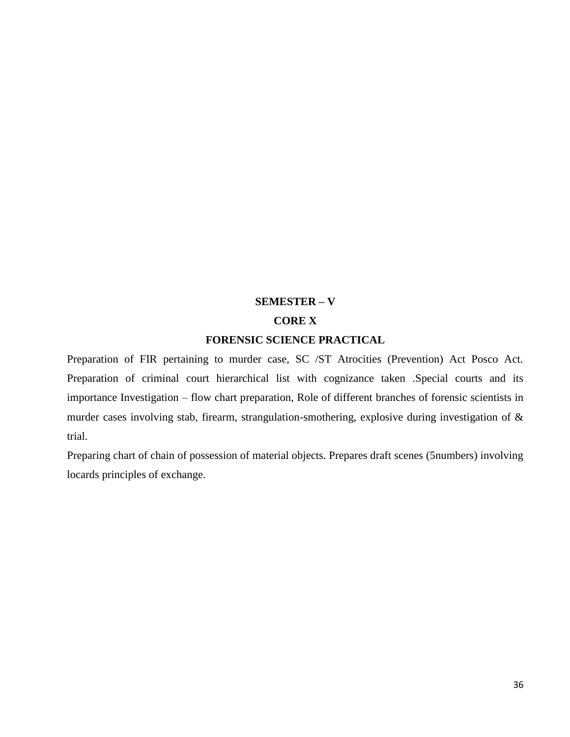#### **SEMESTER – V**

#### **CORE X**

#### **FORENSIC SCIENCE PRACTICAL**

Preparation of FIR pertaining to murder case, SC /ST Atrocities (Prevention) Act Posco Act. Preparation of criminal court hierarchical list with cognizance taken .Special courts and its importance Investigation – flow chart preparation, Role of different branches of forensic scientists in murder cases involving stab, firearm, strangulation-smothering, explosive during investigation of & trial.

Preparing chart of chain of possession of material objects. Prepares draft scenes (5numbers) involving locards principles of exchange.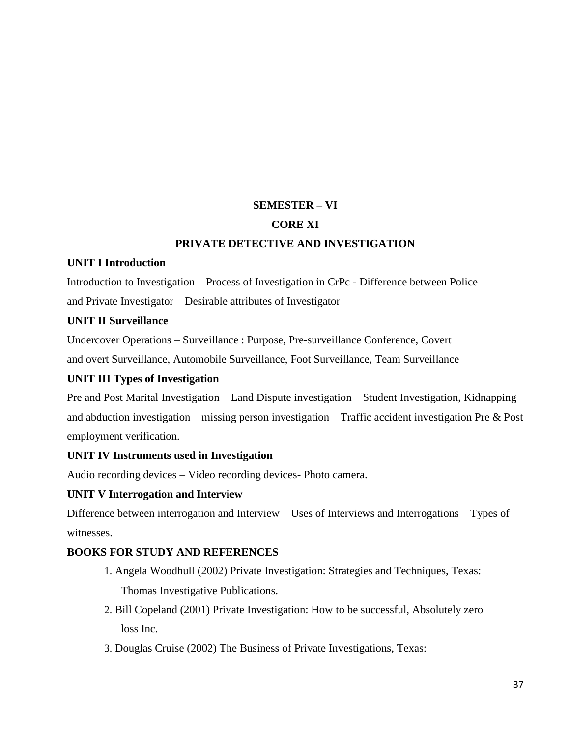## **SEMESTER – VI**

## **CORE XI**

## **PRIVATE DETECTIVE AND INVESTIGATION**

## **UNIT I Introduction**

Introduction to Investigation – Process of Investigation in CrPc - Difference between Police and Private Investigator – Desirable attributes of Investigator

## **UNIT II Surveillance**

Undercover Operations – Surveillance : Purpose, Pre-surveillance Conference, Covert

and overt Surveillance, Automobile Surveillance, Foot Surveillance, Team Surveillance

## **UNIT III Types of Investigation**

Pre and Post Marital Investigation – Land Dispute investigation – Student Investigation, Kidnapping and abduction investigation – missing person investigation – Traffic accident investigation Pre & Post employment verification.

## **UNIT IV Instruments used in Investigation**

Audio recording devices – Video recording devices- Photo camera.

#### **UNIT V Interrogation and Interview**

Difference between interrogation and Interview – Uses of Interviews and Interrogations – Types of witnesses.

## **BOOKS FOR STUDY AND REFERENCES**

- 1. Angela Woodhull (2002) Private Investigation: Strategies and Techniques, Texas: Thomas Investigative Publications.
- 2. Bill Copeland (2001) Private Investigation: How to be successful, Absolutely zero loss Inc.
- 3. Douglas Cruise (2002) The Business of Private Investigations, Texas: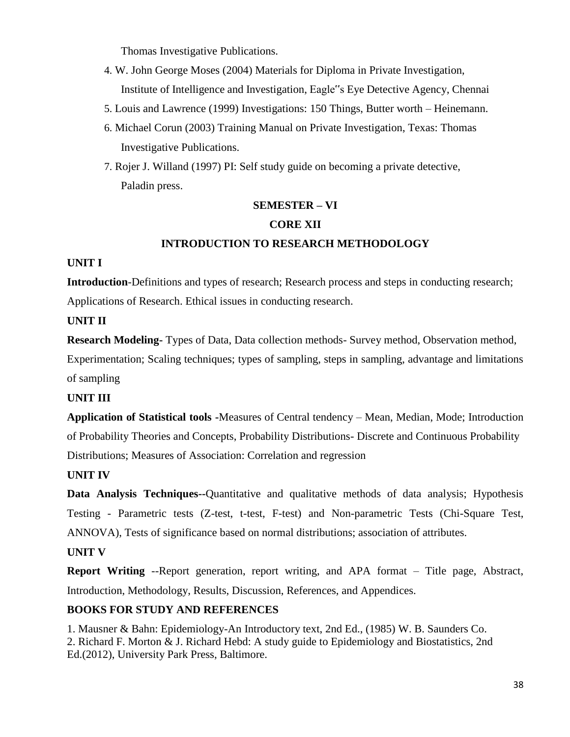Thomas Investigative Publications.

- 4. W. John George Moses (2004) Materials for Diploma in Private Investigation, Institute of Intelligence and Investigation, Eagle"s Eye Detective Agency, Chennai
- 5. Louis and Lawrence (1999) Investigations: 150 Things, Butter worth Heinemann.
- 6. Michael Corun (2003) Training Manual on Private Investigation, Texas: Thomas Investigative Publications.
- 7. Rojer J. Willand (1997) PI: Self study guide on becoming a private detective, Paladin press.

## **SEMESTER – VI**

## **CORE XII**

## **INTRODUCTION TO RESEARCH METHODOLOGY**

## **UNIT I**

**Introduction**-Definitions and types of research; Research process and steps in conducting research; Applications of Research. Ethical issues in conducting research.

## **UNIT II**

**Research Modeling-** Types of Data, Data collection methods- Survey method, Observation method,

Experimentation; Scaling techniques; types of sampling, steps in sampling, advantage and limitations of sampling

## **UNIT III**

**Application of Statistical tools -**Measures of Central tendency – Mean, Median, Mode; Introduction of Probability Theories and Concepts, Probability Distributions- Discrete and Continuous Probability Distributions; Measures of Association: Correlation and regression

## **UNIT IV**

**Data Analysis Techniques--**Quantitative and qualitative methods of data analysis; Hypothesis Testing - Parametric tests (Z-test, t-test, F-test) and Non-parametric Tests (Chi-Square Test, ANNOVA), Tests of significance based on normal distributions; association of attributes.

## **UNIT V**

**Report Writing** --Report generation, report writing, and APA format – Title page, Abstract, Introduction, Methodology, Results, Discussion, References, and Appendices.

## **BOOKS FOR STUDY AND REFERENCES**

1. Mausner & Bahn: Epidemiology-An Introductory text, 2nd Ed., (1985) W. B. Saunders Co. 2. Richard F. Morton & J. Richard Hebd: A study guide to Epidemiology and Biostatistics, 2nd Ed.(2012), University Park Press, Baltimore.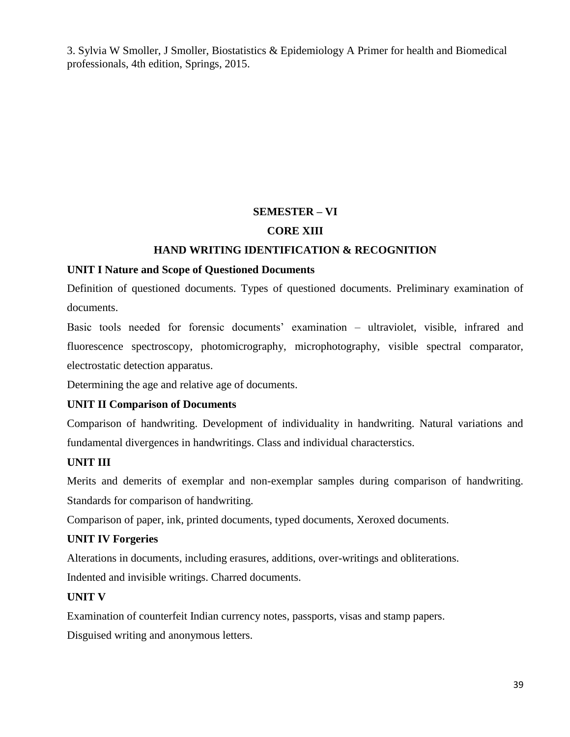3. Sylvia W Smoller, J Smoller, Biostatistics & Epidemiology A Primer for health and Biomedical professionals, 4th edition, Springs, 2015.

## **SEMESTER – VI**

## **CORE XIII**

## **HAND WRITING IDENTIFICATION & RECOGNITION**

## **UNIT I Nature and Scope of Questioned Documents**

Definition of questioned documents. Types of questioned documents. Preliminary examination of documents.

Basic tools needed for forensic documents' examination – ultraviolet, visible, infrared and fluorescence spectroscopy, photomicrography, microphotography, visible spectral comparator, electrostatic detection apparatus.

Determining the age and relative age of documents.

## **UNIT II Comparison of Documents**

Comparison of handwriting. Development of individuality in handwriting. Natural variations and fundamental divergences in handwritings. Class and individual characterstics.

## **UNIT III**

Merits and demerits of exemplar and non-exemplar samples during comparison of handwriting. Standards for comparison of handwriting.

Comparison of paper, ink, printed documents, typed documents, Xeroxed documents.

## **UNIT IV Forgeries**

Alterations in documents, including erasures, additions, over-writings and obliterations.

Indented and invisible writings. Charred documents.

#### **UNIT V**

Examination of counterfeit Indian currency notes, passports, visas and stamp papers.

Disguised writing and anonymous letters.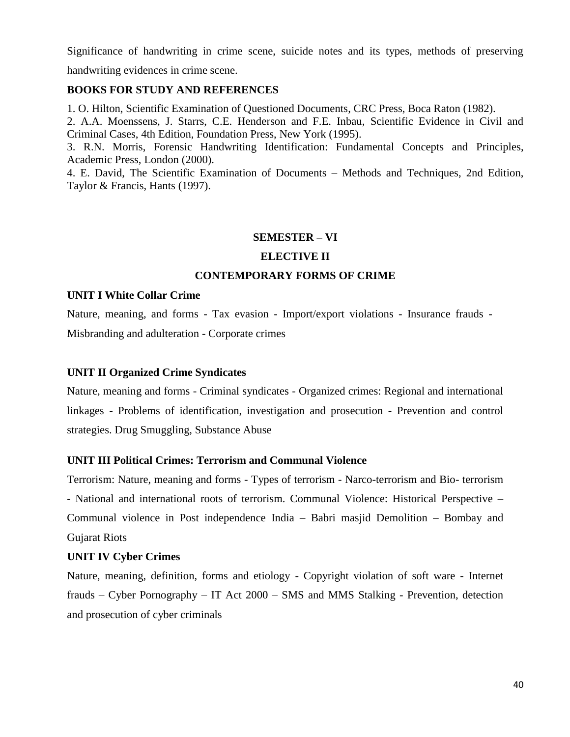Significance of handwriting in crime scene, suicide notes and its types, methods of preserving

handwriting evidences in crime scene.

## **BOOKS FOR STUDY AND REFERENCES**

1. O. Hilton, Scientific Examination of Questioned Documents, CRC Press, Boca Raton (1982).

2. A.A. Moenssens, J. Starrs, C.E. Henderson and F.E. Inbau, Scientific Evidence in Civil and Criminal Cases, 4th Edition, Foundation Press, New York (1995).

3. R.N. Morris, Forensic Handwriting Identification: Fundamental Concepts and Principles, Academic Press, London (2000).

4. E. David, The Scientific Examination of Documents – Methods and Techniques, 2nd Edition, Taylor & Francis, Hants (1997).

## **SEMESTER – VI**

## **ELECTIVE II**

## **CONTEMPORARY FORMS OF CRIME**

## **UNIT I White Collar Crime**

Nature, meaning, and forms - Tax evasion - Import/export violations - Insurance frauds - Misbranding and adulteration - Corporate crimes

## **UNIT II Organized Crime Syndicates**

Nature, meaning and forms - Criminal syndicates - Organized crimes: Regional and international linkages - Problems of identification, investigation and prosecution - Prevention and control strategies. Drug Smuggling, Substance Abuse

## **UNIT III Political Crimes: Terrorism and Communal Violence**

Terrorism: Nature, meaning and forms - Types of terrorism - Narco-terrorism and Bio- terrorism - National and international roots of terrorism. Communal Violence: Historical Perspective – Communal violence in Post independence India – Babri masjid Demolition – Bombay and Gujarat Riots

#### **UNIT IV Cyber Crimes**

Nature, meaning, definition, forms and etiology - Copyright violation of soft ware - Internet frauds – Cyber Pornography – IT Act 2000 – SMS and MMS Stalking - Prevention, detection and prosecution of cyber criminals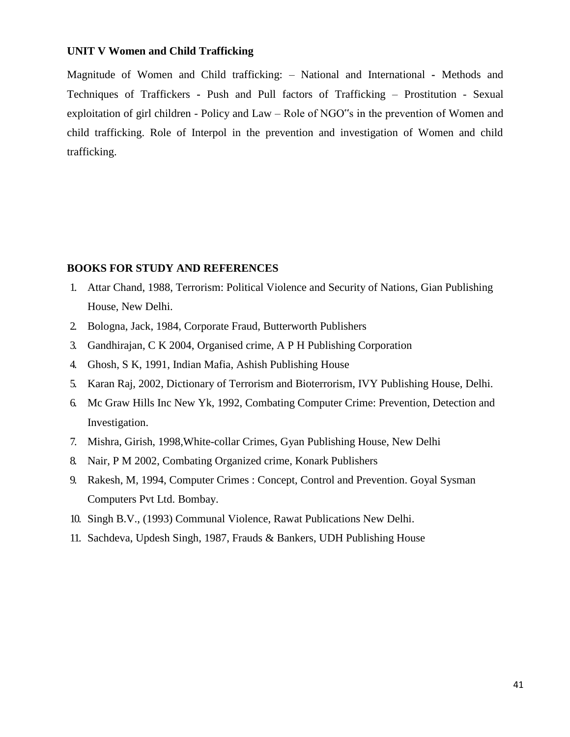#### **UNIT V Women and Child Trafficking**

Magnitude of Women and Child trafficking: – National and International **-** Methods and Techniques of Traffickers **-** Push and Pull factors of Trafficking – Prostitution - Sexual exploitation of girl children - Policy and Law – Role of NGO"s in the prevention of Women and child trafficking. Role of Interpol in the prevention and investigation of Women and child trafficking.

#### **BOOKS FOR STUDY AND REFERENCES**

- 1. Attar Chand, 1988, Terrorism: Political Violence and Security of Nations, Gian Publishing House, New Delhi.
- 2. Bologna, Jack, 1984, Corporate Fraud, Butterworth Publishers
- 3. Gandhirajan, C K 2004, Organised crime, A P H Publishing Corporation
- 4. Ghosh, S K, 1991, Indian Mafia, Ashish Publishing House
- 5. Karan Raj, 2002, Dictionary of Terrorism and Bioterrorism, IVY Publishing House, Delhi.
- 6. Mc Graw Hills Inc New Yk, 1992, Combating Computer Crime: Prevention, Detection and Investigation.
- 7. Mishra, Girish, 1998,White-collar Crimes, Gyan Publishing House, New Delhi
- 8. Nair, P M 2002, Combating Organized crime, Konark Publishers
- 9. Rakesh, M, 1994, Computer Crimes : Concept, Control and Prevention. Goyal Sysman Computers Pvt Ltd. Bombay.
- 10. Singh B.V., (1993) Communal Violence, Rawat Publications New Delhi.
- 11. Sachdeva, Updesh Singh, 1987, Frauds & Bankers, UDH Publishing House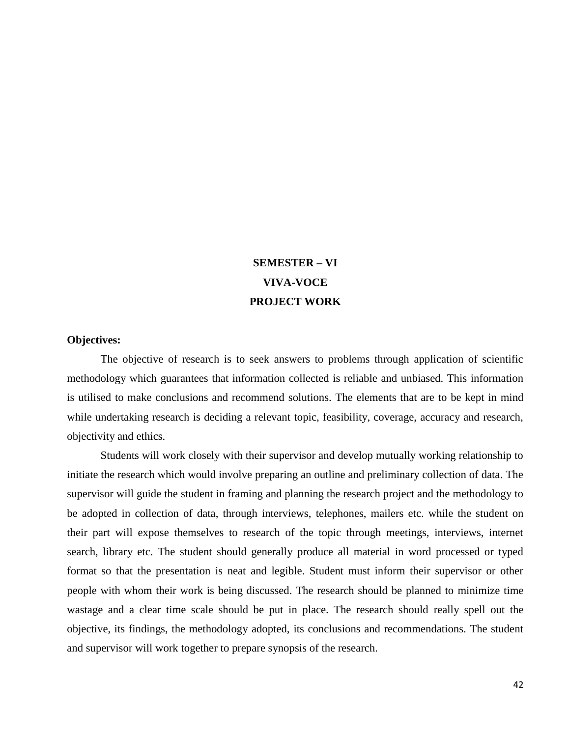## **SEMESTER – VI VIVA-VOCE PROJECT WORK**

#### **Objectives:**

The objective of research is to seek answers to problems through application of scientific methodology which guarantees that information collected is reliable and unbiased. This information is utilised to make conclusions and recommend solutions. The elements that are to be kept in mind while undertaking research is deciding a relevant topic, feasibility, coverage, accuracy and research, objectivity and ethics.

Students will work closely with their supervisor and develop mutually working relationship to initiate the research which would involve preparing an outline and preliminary collection of data. The supervisor will guide the student in framing and planning the research project and the methodology to be adopted in collection of data, through interviews, telephones, mailers etc. while the student on their part will expose themselves to research of the topic through meetings, interviews, internet search, library etc. The student should generally produce all material in word processed or typed format so that the presentation is neat and legible. Student must inform their supervisor or other people with whom their work is being discussed. The research should be planned to minimize time wastage and a clear time scale should be put in place. The research should really spell out the objective, its findings, the methodology adopted, its conclusions and recommendations. The student and supervisor will work together to prepare synopsis of the research.